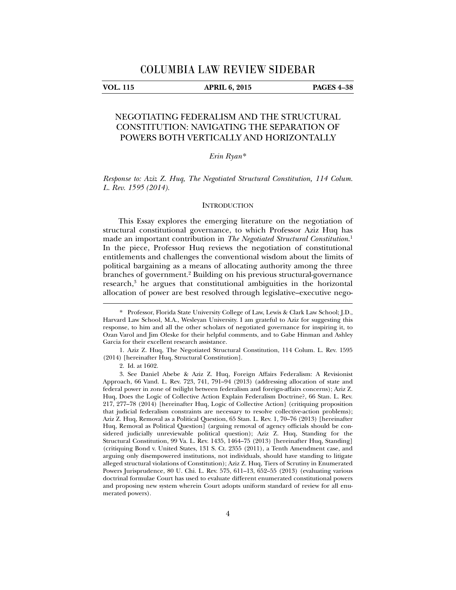#### **VOL. 115 APRIL 6, 2015 PAGES 4–38**

# NEGOTIATING FEDERALISM AND THE STRUCTURAL CONSTITUTION: NAVIGATING THE SEPARATION OF POWERS BOTH VERTICALLY AND HORIZONTALLY

# *Erin Ryan*\*

*Response to: Aziz Z. Huq, The Negotiated Structural Constitution, 114 Colum. L. Rev. 1595 (2014).* 

#### **INTRODUCTION**

This Essay explores the emerging literature on the negotiation of structural constitutional governance, to which Professor Aziz Huq has made an important contribution in *The Negotiated Structural Constitution*. 1 In the piece, Professor Huq reviews the negotiation of constitutional entitlements and challenges the conventional wisdom about the limits of political bargaining as a means of allocating authority among the three branches of government.<sup>2</sup> Building on his previous structural-governance research,<sup>3</sup> he argues that constitutional ambiguities in the horizontal allocation of power are best resolved through legislative–executive nego-

<sup>\*.</sup> Professor, Florida State University College of Law, Lewis & Clark Law School; J.D., Harvard Law School, M.A., Wesleyan University. I am grateful to Aziz for suggesting this response, to him and all the other scholars of negotiated governance for inspiring it, to Ozan Varol and Jim Oleske for their helpful comments, and to Gabe Hinman and Ashley Garcia for their excellent research assistance.

 <sup>1.</sup> Aziz Z. Huq, The Negotiated Structural Constitution, 114 Colum. L. Rev. 1595 (2014) [hereinafter Huq, Structural Constitution].

 <sup>2.</sup> Id. at 1602.

 <sup>3.</sup> See Daniel Abebe & Aziz Z. Huq, Foreign Affairs Federalism: A Revisionist Approach, 66 Vand. L. Rev. 723, 741, 791–94 (2013) (addressing allocation of state and federal power in zone of twilight between federalism and foreign-affairs concerns); Aziz Z. Huq, Does the Logic of Collective Action Explain Federalism Doctrine?, 66 Stan. L. Rev. 217, 277–78 (2014) [hereinafter Huq, Logic of Collective Action] (critiquing proposition that judicial federalism constraints are necessary to resolve collective-action problems); Aziz Z. Huq, Removal as a Political Question, 65 Stan. L. Rev. 1, 70–76 (2013) [hereinafter Huq, Removal as Political Question] (arguing removal of agency officials should be considered judicially unreviewable political question); Aziz Z. Huq, Standing for the Structural Constitution, 99 Va. L. Rev. 1435, 1464–75 (2013) [hereinafter Huq, Standing] (critiquing Bond v. United States, 131 S. Ct. 2355 (2011), a Tenth Amendment case, and arguing only disempowered institutions, not individuals, should have standing to litigate alleged structural violations of Constitution); Aziz Z. Huq, Tiers of Scrutiny in Enumerated Powers Jurisprudence, 80 U. Chi. L. Rev. 575, 611–13, 652–55 (2013) (evaluating various doctrinal formulae Court has used to evaluate different enumerated constitutional powers and proposing new system wherein Court adopts uniform standard of review for all enumerated powers).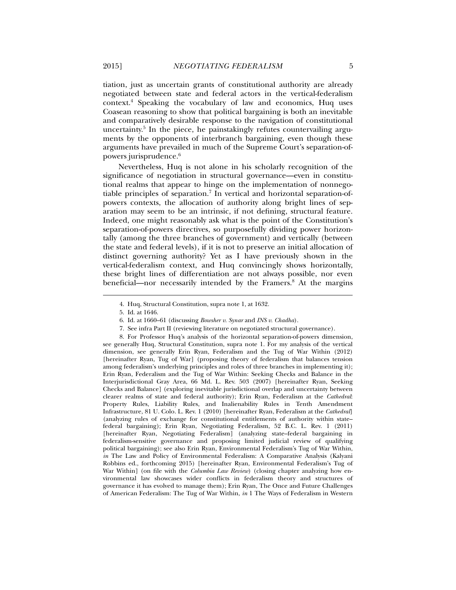tiation, just as uncertain grants of constitutional authority are already negotiated between state and federal actors in the vertical-federalism context.4 Speaking the vocabulary of law and economics, Huq uses Coasean reasoning to show that political bargaining is both an inevitable and comparatively desirable response to the navigation of constitutional uncertainty.5 In the piece, he painstakingly refutes countervailing arguments by the opponents of interbranch bargaining, even though these arguments have prevailed in much of the Supreme Court's separation-ofpowers jurisprudence.6

Nevertheless, Huq is not alone in his scholarly recognition of the significance of negotiation in structural governance—even in constitutional realms that appear to hinge on the implementation of nonnegotiable principles of separation.<sup>7</sup> In vertical and horizontal separation-ofpowers contexts, the allocation of authority along bright lines of separation may seem to be an intrinsic, if not defining, structural feature. Indeed, one might reasonably ask what is the point of the Constitution's separation-of-powers directives, so purposefully dividing power horizontally (among the three branches of government) and vertically (between the state and federal levels), if it is not to preserve an initial allocation of distinct governing authority? Yet as I have previously shown in the vertical-federalism context, and Huq convincingly shows horizontally, these bright lines of differentiation are not always possible, nor even beneficial—nor necessarily intended by the Framers.<sup>8</sup> At the margins

l

 8. For Professor Huq's analysis of the horizontal separation-of-powers dimension, see generally Huq, Structural Constitution, supra note 1. For my analysis of the vertical dimension, see generally Erin Ryan, Federalism and the Tug of War Within (2012) [hereinafter Ryan, Tug of War] (proposing theory of federalism that balances tension among federalism's underlying principles and roles of three branches in implementing it); Erin Ryan, Federalism and the Tug of War Within: Seeking Checks and Balance in the Interjurisdictional Gray Area, 66 Md. L. Rev. 503 (2007) [hereinafter Ryan, Seeking Checks and Balance] (exploring inevitable jurisdictional overlap and uncertainty between clearer realms of state and federal authority); Erin Ryan, Federalism at the *Cathedral*: Property Rules, Liability Rules, and Inalienability Rules in Tenth Amendment Infrastructure, 81 U. Colo. L. Rev. 1 (2010) [hereinafter Ryan, Federalism at the *Cathedral*] (analyzing rules of exchange for constitutional entitlements of authority within state– federal bargaining); Erin Ryan, Negotiating Federalism, 52 B.C. L. Rev. 1 (2011) [hereinafter Ryan, Negotiating Federalism] (analyzing state–federal bargaining in federalism-sensitive governance and proposing limited judicial review of qualifying political bargaining); see also Erin Ryan, Environmental Federalism's Tug of War Within, *in* The Law and Policy of Environmental Federalism: A Comparative Analysis (Kalyani Robbins ed., forthcoming 2015) [hereinafter Ryan, Environmental Federalism's Tug of War Within] (on file with the *Columbia Law Review*) (closing chapter analyzing how environmental law showcases wider conflicts in federalism theory and structures of governance it has evolved to manage them); Erin Ryan, The Once and Future Challenges of American Federalism: The Tug of War Within, *in* 1 The Ways of Federalism in Western

 <sup>4.</sup> Huq, Structural Constitution, supra note 1, at 1632.

 <sup>5.</sup> Id. at 1646.

 <sup>6.</sup> Id. at 1660–61 (discussing *Bowsher v. Synar* and *INS v. Chadha*).

 <sup>7.</sup> See infra Part II (reviewing literature on negotiated structural governance).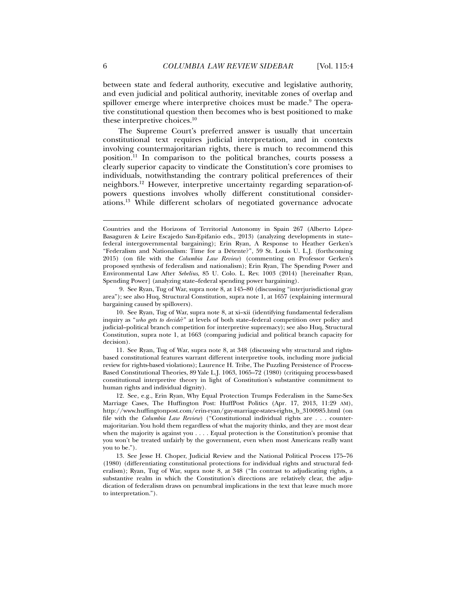between state and federal authority, executive and legislative authority, and even judicial and political authority, inevitable zones of overlap and spillover emerge where interpretive choices must be made.<sup>9</sup> The operative constitutional question then becomes who is best positioned to make these interpretive choices.10

The Supreme Court's preferred answer is usually that uncertain constitutional text requires judicial interpretation, and in contexts involving countermajoritarian rights, there is much to recommend this position.11 In comparison to the political branches, courts possess a clearly superior capacity to vindicate the Constitution's core promises to individuals, notwithstanding the contrary political preferences of their neighbors.12 However, interpretive uncertainty regarding separation-ofpowers questions involves wholly different constitutional considerations.13 While different scholars of negotiated governance advocate

 9. See Ryan, Tug of War, supra note 8, at 145–80 (discussing "interjurisdictional gray area"); see also Huq, Structural Constitution, supra note 1, at 1657 (explaining intermural bargaining caused by spillovers).

 10. See Ryan, Tug of War, supra note 8, at xi–xii (identifying fundamental federalism inquiry as "*who gets to decide*?" at levels of both state–federal competition over policy and judicial–political branch competition for interpretive supremacy); see also Huq, Structural Constitution, supra note 1, at 1663 (comparing judicial and political branch capacity for decision).

 11. See Ryan, Tug of War, supra note 8, at 348 (discussing why structural and rightsbased constitutional features warrant different interpretive tools, including more judicial review for rights-based violations); Laurence H. Tribe, The Puzzling Persistence of Process-Based Constitutional Theories, 89 Yale L.J. 1063, 1065–72 (1980) (critiquing process-based constitutional interpretive theory in light of Constitution's substantive commitment to human rights and individual dignity).

 12. See, e.g., Erin Ryan, Why Equal Protection Trumps Federalism in the Same-Sex Marriage Cases, The Huffington Post: HuffPost Politics (Apr. 17, 2013, 11:29 AM), http://www.huffingtonpost.com/erin-ryan/gay-marriage-states-rights\_b\_3100985.html (on file with the *Columbia Law Review*) ("Constitutional individual rights are . . . countermajoritarian. You hold them regardless of what the majority thinks, and they are most dear when the majority is against you . . . . Equal protection is the Constitution's promise that you won't be treated unfairly by the government, even when most Americans really want you to be.").

 13. See Jesse H. Choper, Judicial Review and the National Political Process 175–76 (1980) (differentiating constitutional protections for individual rights and structural federalism); Ryan, Tug of War, supra note 8, at 348 ("In contrast to adjudicating rights, a substantive realm in which the Constitution's directions are relatively clear, the adjudication of federalism draws on penumbral implications in the text that leave much more to interpretation.").

Countries and the Horizons of Territorial Autonomy in Spain 267 (Alberto López-Basaguren & Leire Escajedo San-Epifanio eds., 2013) (analyzing developments in state– federal intergovernmental bargaining); Erin Ryan, A Response to Heather Gerken's "Federalism and Nationalism: Time for a Détente?", 59 St. Louis U. L.J. (forthcoming 2015) (on file with the *Columbia Law Review*) (commenting on Professor Gerken's proposed synthesis of federalism and nationalism); Erin Ryan, The Spending Power and Environmental Law After *Sebelius*, 85 U. Colo. L. Rev. 1003 (2014) [hereinafter Ryan, Spending Power] (analyzing state–federal spending power bargaining).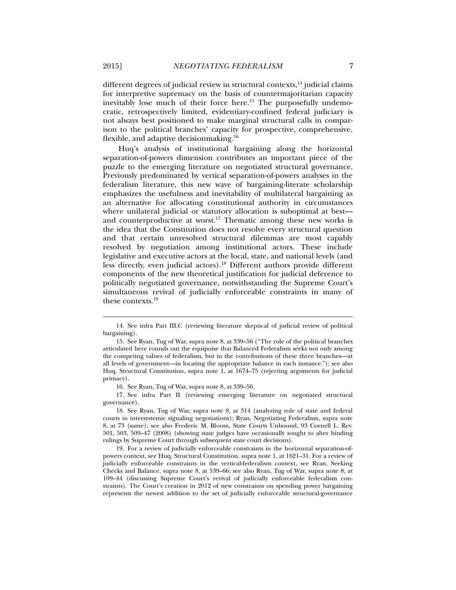different degrees of judicial review in structural contexts, $14$  judicial claims for interpretive supremacy on the basis of countermajoritarian capacity inevitably lose much of their force here.<sup>15</sup> The purposefully undemocratic, retrospectively limited, evidentiary-confined federal judiciary is not always best positioned to make marginal structural calls in comparison to the political branches' capacity for prospective, comprehensive, flexible, and adaptive decisionmaking.16

Huq's analysis of institutional bargaining along the horizontal separation-of-powers dimension contributes an important piece of the puzzle to the emerging literature on negotiated structural governance. Previously predominated by vertical separation-of-powers analyses in the federalism literature, this new wave of bargaining-literate scholarship emphasizes the usefulness and inevitability of multilateral bargaining as an alternative for allocating constitutional authority in circumstances where unilateral judicial or statutory allocation is suboptimal at best and counterproductive at worst.<sup>17</sup> Thematic among these new works is the idea that the Constitution does not resolve every structural question and that certain unresolved structural dilemmas are most capably resolved by negotiation among institutional actors. These include legislative and executive actors at the local, state, and national levels (and less directly, even judicial actors).18 Different authors provide different components of the new theoretical justification for judicial deference to politically negotiated governance, notwithstanding the Supreme Court's simultaneous revival of judicially enforceable constraints in many of these contexts.<sup>19</sup>

16. See Ryan, Tug of War, supra note 8, at 339–56.

 17. See infra Part II (reviewing emerging literature on negotiated structural governance).

 <sup>14.</sup> See infra Part III.C (reviewing literature skeptical of judicial review of political bargaining).

 <sup>15.</sup> See Ryan, Tug of War, supra note 8, at 339–56 ("The role of the political branches articulated here rounds out the equipoise that Balanced Federalism seeks not only among the competing values of federalism, but in the contributions of these three branches—at all levels of government—in locating the appropriate balance in each instance."); see also Huq, Structural Constitution, supra note 1, at 1674–75 (rejecting arguments for judicial primacy).

 <sup>18.</sup> See Ryan, Tug of War, supra note 8, at 314 (analyzing role of state and federal courts in intersystemic signaling negotiations); Ryan, Negotiating Federalism, supra note 8, at 73 (same); see also Frederic M. Bloom, State Courts Unbound, 93 Cornell L. Rev. 501, 503, 509–47 (2008) (showing state judges have occasionally sought to alter binding rulings by Supreme Court through subsequent state court decisions).

 <sup>19.</sup> For a review of judicially enforceable constraints in the horizontal separation-ofpowers context, see Huq, Structural Constitution, supra note 1, at 1621–31. For a review of judicially enforceable constraints in the vertical-federalism context, see Ryan, Seeking Checks and Balance, supra note 8, at 539–66; see also Ryan, Tug of War, supra note 8, at 109–44 (discussing Supreme Court's revival of judicially enforceable federalism constraints). The Court's creation in 2012 of new constraints on spending power bargaining represents the newest addition to the set of judicially enforceable structural-governance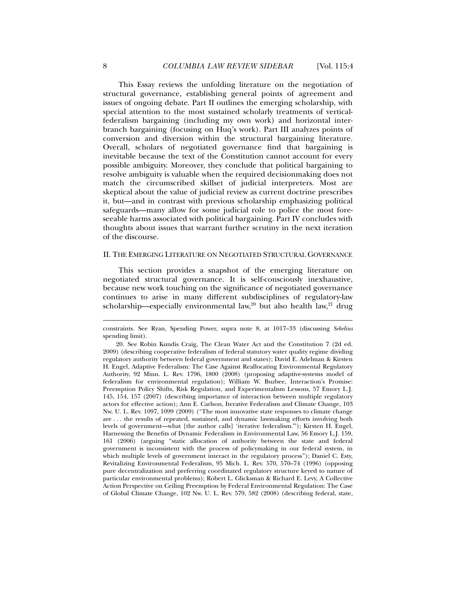This Essay reviews the unfolding literature on the negotiation of structural governance, establishing general points of agreement and issues of ongoing debate. Part II outlines the emerging scholarship, with special attention to the most sustained scholarly treatments of verticalfederalism bargaining (including my own work) and horizontal interbranch bargaining (focusing on Huq's work). Part III analyzes points of conversion and diversion within the structural bargaining literature. Overall, scholars of negotiated governance find that bargaining is inevitable because the text of the Constitution cannot account for every possible ambiguity. Moreover, they conclude that political bargaining to resolve ambiguity is valuable when the required decisionmaking does not match the circumscribed skillset of judicial interpreters. Most are skeptical about the value of judicial review as current doctrine prescribes it, but—and in contrast with previous scholarship emphasizing political safeguards—many allow for some judicial role to police the most foreseeable harms associated with political bargaining. Part IV concludes with thoughts about issues that warrant further scrutiny in the next iteration of the discourse.

## II. THE EMERGING LITERATURE ON NEGOTIATED STRUCTURAL GOVERNANCE

This section provides a snapshot of the emerging literature on negotiated structural governance. It is self-consciously inexhaustive, because new work touching on the significance of negotiated governance continues to arise in many different subdisciplines of regulatory-law scholarship—especially environmental law,<sup>20</sup> but also health law,<sup>21</sup> drug

constraints. See Ryan, Spending Power, supra note 8, at 1017–33 (discussing *Sebelius* spending limit).

 <sup>20.</sup> See Robin Kundis Craig, The Clean Water Act and the Constitution 7 (2d ed. 2009) (describing cooperative federalism of federal statutory water quality regime dividing regulatory authority between federal government and states); David E. Adelman & Kirsten H. Engel, Adaptive Federalism: The Case Against Reallocating Environmental Regulatory Authority, 92 Minn. L. Rev. 1796, 1800 (2008) (proposing adaptive-systems model of federalism for environmental regulation); William W. Buzbee, Interaction's Promise: Preemption Policy Shifts, Risk Regulation, and Experimentalism Lessons, 57 Emory L.J. 145, 154, 157 (2007) (describing importance of interaction between multiple regulatory actors for effective action); Ann E. Carlson, Iterative Federalism and Climate Change, 103 Nw. U. L. Rev. 1097, 1099 (2009) ("The most innovative state responses to climate change are . . . the results of repeated, sustained, and dynamic lawmaking efforts involving both levels of government—what [the author calls] 'iterative federalism.'"); Kirsten H. Engel, Harnessing the Benefits of Dynamic Federalism in Environmental Law, 56 Emory L.J. 159, 161 (2006) (arguing "static allocation of authority between the state and federal government is inconsistent with the process of policymaking in our federal system, in which multiple levels of government interact in the regulatory process"); Daniel C. Esty, Revitalizing Environmental Federalism, 95 Mich. L. Rev. 570, 570–74 (1996) (opposing pure decentralization and preferring coordinated regulatory structure keyed to nature of particular environmental problems); Robert L. Glicksman & Richard E. Levy, A Collective Action Perspective on Ceiling Preemption by Federal Environmental Regulation: The Case of Global Climate Change, 102 Nw. U. L. Rev. 579, 582 (2008) (describing federal, state,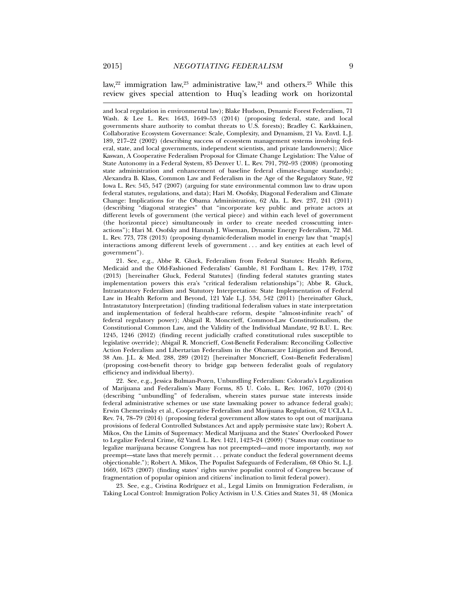law,<sup>22</sup> immigration law,<sup>23</sup> administrative law,<sup>24</sup> and others.<sup>25</sup> While this review gives special attention to Huq's leading work on horizontal

and local regulation in environmental law); Blake Hudson, Dynamic Forest Federalism, 71 Wash. & Lee L. Rev. 1643, 1649–53 (2014) (proposing federal, state, and local governments share authority to combat threats to U.S. forests); Bradley C. Karkkainen, Collaborative Ecosystem Governance: Scale, Complexity, and Dynamism, 21 Va. Envtl. L.J. 189, 217–22 (2002) (describing success of ecosystem management systems involving federal, state, and local governments, independent scientists, and private landowners); Alice Kaswan, A Cooperative Federalism Proposal for Climate Change Legislation: The Value of State Autonomy in a Federal System, 85 Denver U. L. Rev. 791, 792–93 (2008) (promoting state administration and enhancement of baseline federal climate-change standards); Alexandra B. Klass, Common Law and Federalism in the Age of the Regulatory State, 92 Iowa L. Rev. 545, 547 (2007) (arguing for state environmental common law to draw upon federal statutes, regulations, and data); Hari M. Osofsky, Diagonal Federalism and Climate Change: Implications for the Obama Administration, 62 Ala. L. Rev. 237, 241 (2011) (describing "diagonal strategies" that "incorporate key public and private actors at different levels of government (the vertical piece) and within each level of government (the horizontal piece) simultaneously in order to create needed crosscutting interactions"); Hari M. Osofsky and Hannah J. Wiseman, Dynamic Energy Federalism, 72 Md. L. Rev. 773, 778 (2013) (proposing dynamic-federalism model in energy law that "map[s] interactions among different levels of government . . . and key entities at each level of government").

 21. See, e.g., Abbe R. Gluck, Federalism from Federal Statutes: Health Reform, Medicaid and the Old-Fashioned Federalists' Gamble, 81 Fordham L. Rev. 1749, 1752 (2013) [hereinafter Gluck, Federal Statutes] (finding federal statutes granting states implementation powers this era's "critical federalism relationships"); Abbe R. Gluck, Intrastatutory Federalism and Statutory Interpretation: State Implementation of Federal Law in Health Reform and Beyond, 121 Yale L.J. 534, 542 (2011) [hereinafter Gluck, Intrastatutory Interpretation] (finding traditional federalism values in state interpretation and implementation of federal health-care reform, despite "almost-infinite reach" of federal regulatory power); Abigail R. Moncrieff, Common-Law Constitutionalism, the Constitutional Common Law, and the Validity of the Individual Mandate, 92 B.U. L. Rev. 1245, 1246 (2012) (finding recent judicially crafted constitutional rules susceptible to legislative override); Abigail R. Moncrieff, Cost-Benefit Federalism: Reconciling Collective Action Federalism and Libertarian Federalism in the Obamacare Litigation and Beyond, 38 Am. J.L. & Med. 288, 289 (2012) [hereinafter Moncrieff, Cost–Benefit Federalism] (proposing cost-benefit theory to bridge gap between federalist goals of regulatory efficiency and individual liberty).

 22. See, e.g., Jessica Bulman-Pozen, Unbundling Federalism: Colorado's Legalization of Marijuana and Federalism's Many Forms, 85 U. Colo. L. Rev. 1067, 1070 (2014) (describing "unbundling" of federalism, wherein states pursue state interests inside federal administrative schemes or use state lawmaking power to advance federal goals); Erwin Chemerinsky et al., Cooperative Federalism and Marijuana Regulation, 62 UCLA L. Rev. 74, 78–79 (2014) (proposing federal government allow states to opt out of marijuana provisions of federal Controlled Substances Act and apply permissive state law); Robert A. Mikos, On the Limits of Supremacy: Medical Marijuana and the States' Overlooked Power to Legalize Federal Crime, 62 Vand. L. Rev. 1421, 1423–24 (2009) ("States may continue to legalize marijuana because Congress has not preempted—and more importantly, *may not* preempt—state laws that merely permit . . . private conduct the federal government deems objectionable."); Robert A. Mikos, The Populist Safeguards of Federalism, 68 Ohio St. L.J. 1669, 1673 (2007) (finding states' rights survive populist control of Congress because of fragmentation of popular opinion and citizens' inclination to limit federal power).

 23. See, e.g., Cristina Rodríguez et al., Legal Limits on Immigration Federalism, *in* Taking Local Control: Immigration Policy Activism in U.S. Cities and States 31, 48 (Monica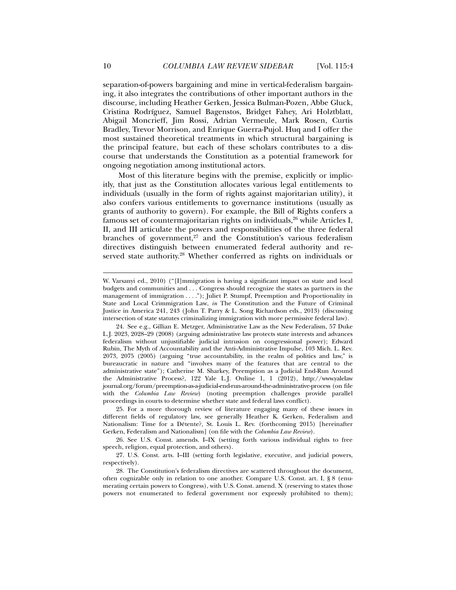separation-of-powers bargaining and mine in vertical-federalism bargaining, it also integrates the contributions of other important authors in the discourse, including Heather Gerken, Jessica Bulman-Pozen, Abbe Gluck, Cristina Rodríguez, Samuel Bagenstos, Bridget Fahey, Ari Holztblatt, Abigail Moncrieff, Jim Rossi, Adrian Vermeule, Mark Rosen, Curtis Bradley, Trevor Morrison, and Enrique Guerra-Pujol. Huq and I offer the most sustained theoretical treatments in which structural bargaining is the principal feature, but each of these scholars contributes to a discourse that understands the Constitution as a potential framework for ongoing negotiation among institutional actors.

Most of this literature begins with the premise, explicitly or implicitly, that just as the Constitution allocates various legal entitlements to individuals (usually in the form of rights against majoritarian utility), it also confers various entitlements to governance institutions (usually as grants of authority to govern). For example, the Bill of Rights confers a famous set of countermajoritarian rights on individuals,<sup>26</sup> while Articles I, II, and III articulate the powers and responsibilities of the three federal branches of government, $27$  and the Constitution's various federalism directives distinguish between enumerated federal authority and reserved state authority.<sup>28</sup> Whether conferred as rights on individuals or

 26. See U.S. Const. amends. I–IX (setting forth various individual rights to free speech, religion, equal protection, and others).

W. Varsanyi ed., 2010) ("[I]mmigration is having a significant impact on state and local budgets and communities and . . . Congress should recognize the states as partners in the management of immigration . . . ."); Juliet P. Stumpf, Preemption and Proportionality in State and Local Crimmigration Law, *in* The Constitution and the Future of Criminal Justice in America 241, 243 (John T. Parry & L. Song Richardson eds., 2013) (discussing intersection of state statutes criminalizing immigration with more permissive federal law).

 <sup>24.</sup> See e.g., Gillian E. Metzger, Administrative Law as the New Federalism, 57 Duke L.J. 2023, 2028–29 (2008) (arguing administrative law protects state interests and advances federalism without unjustifiable judicial intrusion on congressional power); Edward Rubin, The Myth of Accountability and the Anti-Administrative Impulse, 103 Mich. L. Rev. 2073, 2075 (2005) (arguing "true accountability, in the realm of politics and law," is bureaucratic in nature and "involves many of the features that are central to the administrative state"); Catherine M. Sharkey, Preemption as a Judicial End-Run Around the Administrative Process?, 122 Yale L.J. Online 1, 1 (2012), http://www.yalelaw journal.org /forum/preemption-as-a-judicial-end-run-around-the-administrative-process (on file with the *Columbia Law Review*) (noting preemption challenges provide parallel proceedings in courts to determine whether state and federal laws conflict).

 <sup>25.</sup> For a more thorough review of literature engaging many of these issues in different fields of regulatory law, see generally Heather K. Gerken, Federalism and Nationalism: Time for a Détente?, St. Louis L. Rev. (forthcoming 2015) [hereinafter Gerken, Federalism and Nationalism] (on file with the *Columbia Law Review*).

 <sup>27.</sup> U.S. Const. arts. I–III (setting forth legislative, executive, and judicial powers, respectively).

 <sup>28.</sup> The Constitution's federalism directives are scattered throughout the document, often cognizable only in relation to one another. Compare U.S. Const. art. I, § 8 (enumerating certain powers to Congress), with U.S. Const. amend. X (reserving to states those powers not enumerated to federal government nor expressly prohibited to them);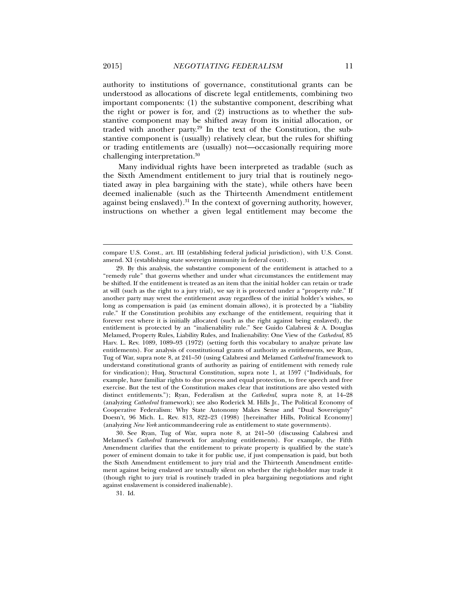authority to institutions of governance, constitutional grants can be understood as allocations of discrete legal entitlements, combining two important components: (1) the substantive component, describing what the right or power is for, and (2) instructions as to whether the substantive component may be shifted away from its initial allocation, or traded with another party.<sup>29</sup> In the text of the Constitution, the substantive component is (usually) relatively clear, but the rules for shifting or trading entitlements are (usually) not—occasionally requiring more challenging interpretation.30

Many individual rights have been interpreted as tradable (such as the Sixth Amendment entitlement to jury trial that is routinely negotiated away in plea bargaining with the state), while others have been deemed inalienable (such as the Thirteenth Amendment entitlement against being enslaved).<sup>31</sup> In the context of governing authority, however, instructions on whether a given legal entitlement may become the

31. Id.

compare U.S. Const., art. III (establishing federal judicial jurisdiction), with U.S. Const. amend. XI (establishing state sovereign immunity in federal court).

 <sup>29.</sup> By this analysis, the substantive component of the entitlement is attached to a "remedy rule" that governs whether and under what circumstances the entitlement may be shifted. If the entitlement is treated as an item that the initial holder can retain or trade at will (such as the right to a jury trial), we say it is protected under a "property rule." If another party may wrest the entitlement away regardless of the initial holder's wishes, so long as compensation is paid (as eminent domain allows), it is protected by a "liability rule." If the Constitution prohibits any exchange of the entitlement, requiring that it forever rest where it is initially allocated (such as the right against being enslaved), the entitlement is protected by an "inalienability rule." See Guido Calabresi & A. Douglas Melamed, Property Rules, Liability Rules, and Inalienability: One View of the *Cathedral*, 85 Harv. L. Rev. 1089, 1089–93 (1972) (setting forth this vocabulary to analyze private law entitlements). For analysis of constitutional grants of authority as entitlements, see Ryan, Tug of War, supra note 8, at 241–50 (using Calabresi and Melamed *Cathedral* framework to understand constitutional grants of authority as pairing of entitlement with remedy rule for vindication); Huq, Structural Constitution, supra note 1, at 1597 ("Individuals, for example, have familiar rights to due process and equal protection, to free speech and free exercise. But the test of the Constitution makes clear that institutions are also vested with distinct entitlements."); Ryan, Federalism at the *Cathedral*, supra note 8, at 14–28 (analyzing *Cathedral* framework); see also Roderick M. Hills Jr., The Political Economy of Cooperative Federalism: Why State Autonomy Makes Sense and "Dual Sovereignty" Doesn't, 96 Mich. L. Rev. 813, 822–23 (1998) [hereinafter Hills, Political Economy] (analyzing *New York* anticommandeering rule as entitlement to state governments).

 <sup>30.</sup> See Ryan, Tug of War, supra note 8, at 241–50 (discussing Calabresi and Melamed's *Cathedral* framework for analyzing entitlements). For example, the Fifth Amendment clarifies that the entitlement to private property is qualified by the state's power of eminent domain to take it for public use, if just compensation is paid, but both the Sixth Amendment entitlement to jury trial and the Thirteenth Amendment entitlement against being enslaved are textually silent on whether the right-holder may trade it (though right to jury trial is routinely traded in plea bargaining negotiations and right against enslavement is considered inalienable).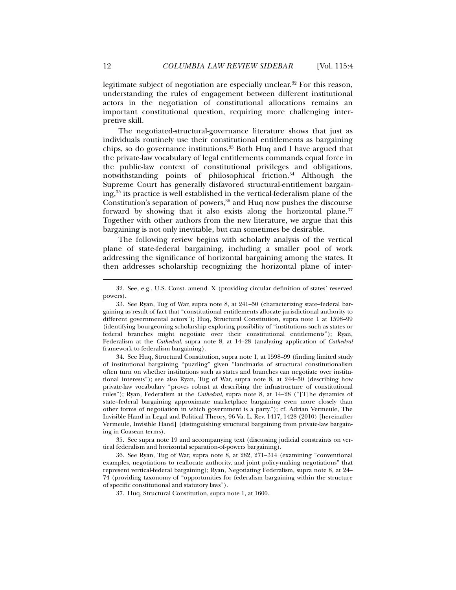legitimate subject of negotiation are especially unclear.<sup>32</sup> For this reason, understanding the rules of engagement between different institutional actors in the negotiation of constitutional allocations remains an important constitutional question, requiring more challenging interpretive skill.

The negotiated-structural-governance literature shows that just as individuals routinely use their constitutional entitlements as bargaining chips, so do governance institutions.<sup>33</sup> Both Huq and I have argued that the private-law vocabulary of legal entitlements commands equal force in the public-law context of constitutional privileges and obligations, notwithstanding points of philosophical friction.<sup>34</sup> Although the Supreme Court has generally disfavored structural-entitlement bargaining,35 its practice is well established in the vertical-federalism plane of the Constitution's separation of powers,  $36$  and Huq now pushes the discourse forward by showing that it also exists along the horizontal plane.<sup>37</sup> Together with other authors from the new literature, we argue that this bargaining is not only inevitable, but can sometimes be desirable.

The following review begins with scholarly analysis of the vertical plane of state-federal bargaining, including a smaller pool of work addressing the significance of horizontal bargaining among the states. It then addresses scholarship recognizing the horizontal plane of inter-

 34. See Huq, Structural Constitution, supra note 1, at 1598–99 (finding limited study of institutional bargaining "puzzling" given "landmarks of structural constitutionalism often turn on whether institutions such as states and branches can negotiate over institutional interests"); see also Ryan, Tug of War, supra note 8, at 244–50 (describing how private-law vocabulary "proves robust at describing the infrastructure of constitutional rules"); Ryan, Federalism at the *Cathedral*, supra note 8, at 14–28 ("[T]he dynamics of state–federal bargaining approximate marketplace bargaining even more closely than other forms of negotiation in which government is a party."); cf. Adrian Vermeule, The Invisible Hand in Legal and Political Theory, 96 Va. L. Rev. 1417, 1428 (2010) [hereinafter Vermeule, Invisible Hand] (distinguishing structural bargaining from private-law bargaining in Coasean terms).

 35. See supra note 19 and accompanying text (discussing judicial constraints on vertical federalism and horizontal separation-of-powers bargaining).

 36. See Ryan, Tug of War, supra note 8, at 282, 271–314 (examining "conventional examples, negotiations to reallocate authority, and joint policy-making negotiations" that represent vertical-federal bargaining); Ryan, Negotiating Federalism, supra note 8, at 24– 74 (providing taxonomy of "opportunities for federalism bargaining within the structure of specific constitutional and statutory laws").

37. Huq, Structural Constitution, supra note 1, at 1600.

 <sup>32.</sup> See, e.g., U.S. Const. amend. X (providing circular definition of states' reserved powers).

 <sup>33.</sup> See Ryan, Tug of War, supra note 8, at 241–50 (characterizing state–federal bargaining as result of fact that "constitutional entitlements allocate jurisdictional authority to different governmental actors"); Huq, Structural Constitution, supra note 1 at 1598–99 (identifying bourgeoning scholarship exploring possibility of "institutions such as states or federal branches might negotiate over their constitutional entitlements"); Ryan, Federalism at the *Cathedral*, supra note 8, at 14–28 (analyzing application of *Cathedral* framework to federalism bargaining).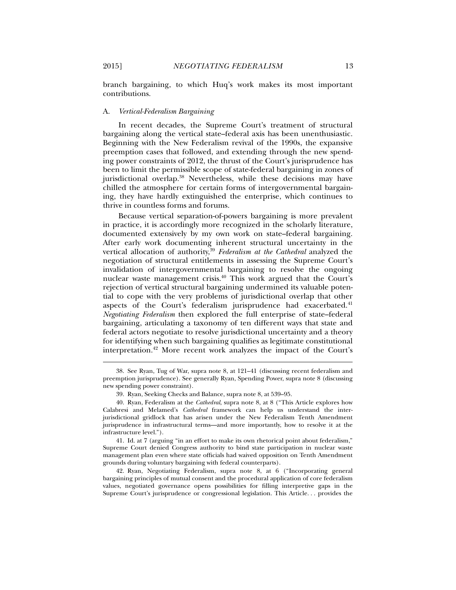branch bargaining, to which Huq's work makes its most important contributions.

# A. *Vertical-Federalism Bargaining*

In recent decades, the Supreme Court's treatment of structural bargaining along the vertical state–federal axis has been unenthusiastic. Beginning with the New Federalism revival of the 1990s, the expansive preemption cases that followed, and extending through the new spending power constraints of 2012, the thrust of the Court's jurisprudence has been to limit the permissible scope of state-federal bargaining in zones of jurisdictional overlap.38 Nevertheless, while these decisions may have chilled the atmosphere for certain forms of intergovernmental bargaining, they have hardly extinguished the enterprise, which continues to thrive in countless forms and forums.

Because vertical separation-of-powers bargaining is more prevalent in practice, it is accordingly more recognized in the scholarly literature, documented extensively by my own work on state–federal bargaining. After early work documenting inherent structural uncertainty in the vertical allocation of authority,<sup>39</sup> *Federalism at the Cathedral* analyzed the negotiation of structural entitlements in assessing the Supreme Court's invalidation of intergovernmental bargaining to resolve the ongoing nuclear waste management crisis.40 This work argued that the Court's rejection of vertical structural bargaining undermined its valuable potential to cope with the very problems of jurisdictional overlap that other aspects of the Court's federalism jurisprudence had exacerbated.<sup>41</sup> *Negotiating Federalism* then explored the full enterprise of state–federal bargaining, articulating a taxonomy of ten different ways that state and federal actors negotiate to resolve jurisdictional uncertainty and a theory for identifying when such bargaining qualifies as legitimate constitutional interpretation.42 More recent work analyzes the impact of the Court's

 42. Ryan, Negotiating Federalism, supra note 8, at 6 ("Incorporating general bargaining principles of mutual consent and the procedural application of core federalism values, negotiated governance opens possibilities for filling interpretive gaps in the Supreme Court's jurisprudence or congressional legislation. This Article. . . provides the

 <sup>38.</sup> See Ryan, Tug of War, supra note 8, at 121–41 (discussing recent federalism and preemption jurisprudence). See generally Ryan, Spending Power, supra note 8 (discussing new spending power constraint).

 <sup>39.</sup> Ryan, Seeking Checks and Balance, supra note 8, at 539–95.

 <sup>40.</sup> Ryan, Federalism at the *Cathedral*, supra note 8, at 8 ("This Article explores how Calabresi and Melamed's *Cathedral* framework can help us understand the interjurisdictional gridlock that has arisen under the New Federalism Tenth Amendment jurisprudence in infrastructural terms—and more importantly, how to resolve it at the infrastructure level.").

 <sup>41.</sup> Id. at 7 (arguing "in an effort to make its own rhetorical point about federalism," Supreme Court denied Congress authority to bind state participation in nuclear waste management plan even where state officials had waived opposition on Tenth Amendment grounds during voluntary bargaining with federal counterparts).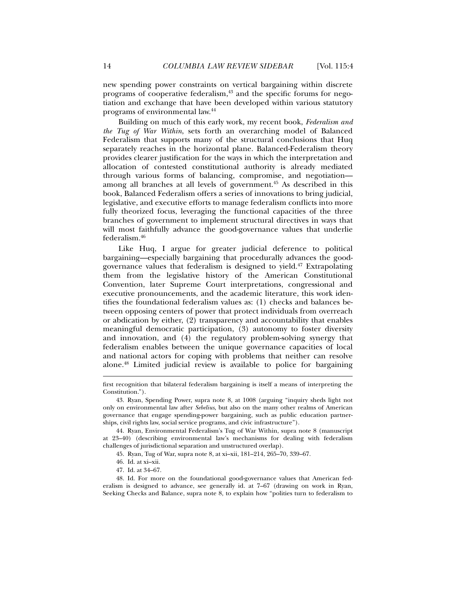new spending power constraints on vertical bargaining within discrete programs of cooperative federalism, $43$  and the specific forums for negotiation and exchange that have been developed within various statutory programs of environmental law.44

Building on much of this early work, my recent book, *Federalism and the Tug of War Within*, sets forth an overarching model of Balanced Federalism that supports many of the structural conclusions that Huq separately reaches in the horizontal plane. Balanced-Federalism theory provides clearer justification for the ways in which the interpretation and allocation of contested constitutional authority is already mediated through various forms of balancing, compromise, and negotiation among all branches at all levels of government.45 As described in this book, Balanced Federalism offers a series of innovations to bring judicial, legislative, and executive efforts to manage federalism conflicts into more fully theorized focus, leveraging the functional capacities of the three branches of government to implement structural directives in ways that will most faithfully advance the good-governance values that underlie federalism.46

Like Huq, I argue for greater judicial deference to political bargaining—especially bargaining that procedurally advances the goodgovernance values that federalism is designed to yield.47 Extrapolating them from the legislative history of the American Constitutional Convention, later Supreme Court interpretations, congressional and executive pronouncements, and the academic literature, this work identifies the foundational federalism values as: (1) checks and balances between opposing centers of power that protect individuals from overreach or abdication by either, (2) transparency and accountability that enables meaningful democratic participation, (3) autonomy to foster diversity and innovation, and (4) the regulatory problem-solving synergy that federalism enables between the unique governance capacities of local and national actors for coping with problems that neither can resolve alone.48 Limited judicial review is available to police for bargaining

first recognition that bilateral federalism bargaining is itself a means of interpreting the Constitution.").

 <sup>43.</sup> Ryan, Spending Power, supra note 8, at 1008 (arguing "inquiry sheds light not only on environmental law after *Sebelius*, but also on the many other realms of American governance that engage spending-power bargaining, such as public education partnerships, civil rights law, social service programs, and civic infrastructure").

 <sup>44.</sup> Ryan, Environmental Federalism's Tug of War Within, supra note 8 (manuscript at 23–40) (describing environmental law's mechanisms for dealing with federalism challenges of jurisdictional separation and unstructured overlap).

 <sup>45.</sup> Ryan, Tug of War, supra note 8, at xi–xii, 181–214, 265–70, 339–67.

 <sup>46.</sup> Id. at xi–xii.

 <sup>47.</sup> Id. at 34–67.

 <sup>48.</sup> Id. For more on the foundational good-governance values that American federalism is designed to advance, see generally id. at 7–67 (drawing on work in Ryan, Seeking Checks and Balance, supra note 8, to explain how "polities turn to federalism to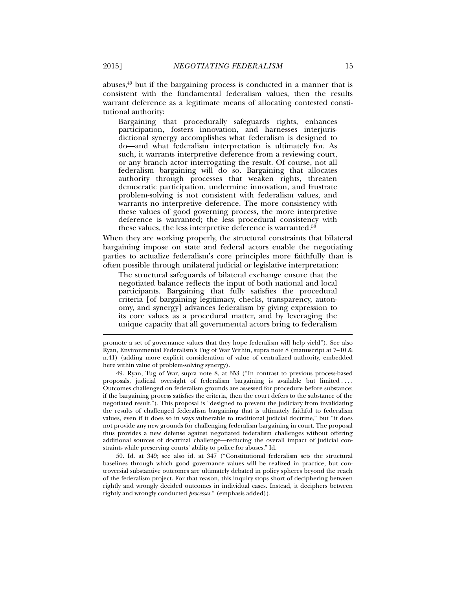abuses,49 but if the bargaining process is conducted in a manner that is consistent with the fundamental federalism values, then the results warrant deference as a legitimate means of allocating contested constitutional authority:

Bargaining that procedurally safeguards rights, enhances participation, fosters innovation, and harnesses interjurisdictional synergy accomplishes what federalism is designed to do—and what federalism interpretation is ultimately for. As such, it warrants interpretive deference from a reviewing court, or any branch actor interrogating the result. Of course, not all federalism bargaining will do so. Bargaining that allocates authority through processes that weaken rights, threaten democratic participation, undermine innovation, and frustrate problem-solving is not consistent with federalism values, and warrants no interpretive deference. The more consistency with these values of good governing process, the more interpretive deference is warranted; the less procedural consistency with these values, the less interpretive deference is warranted.<sup>50</sup>

When they are working properly, the structural constraints that bilateral bargaining impose on state and federal actors enable the negotiating parties to actualize federalism's core principles more faithfully than is often possible through unilateral judicial or legislative interpretation:

The structural safeguards of bilateral exchange ensure that the negotiated balance reflects the input of both national and local participants. Bargaining that fully satisfies the procedural criteria [of bargaining legitimacy, checks, transparency, autonomy, and synergy] advances federalism by giving expression to its core values as a procedural matter, and by leveraging the unique capacity that all governmental actors bring to federalism

 49. Ryan, Tug of War, supra note 8, at 353 ("In contrast to previous process-based proposals, judicial oversight of federalism bargaining is available but limited . . . . Outcomes challenged on federalism grounds are assessed for procedure before substance; if the bargaining process satisfies the criteria, then the court defers to the substance of the negotiated result."). This proposal is "designed to prevent the judiciary from invalidating the results of challenged federalism bargaining that is ultimately faithful to federalism values, even if it does so in ways vulnerable to traditional judicial doctrine," but "it does not provide any new grounds for challenging federalism bargaining in court. The proposal thus provides a new defense against negotiated federalism challenges without offering additional sources of doctrinal challenge—reducing the overall impact of judicial constraints while preserving courts' ability to police for abuses." Id.

 50. Id. at 349; see also id. at 347 ("Constitutional federalism sets the structural baselines through which good governance values will be realized in practice, but controversial substantive outcomes are ultimately debated in policy spheres beyond the reach of the federalism project. For that reason, this inquiry stops short of deciphering between rightly and wrongly decided outcomes in individual cases. Instead, it deciphers between rightly and wrongly conducted *processes*." (emphasis added)).

promote a set of governance values that they hope federalism will help yield"). See also Ryan, Environmental Federalism's Tug of War Within, supra note 8 (manuscript at 7–10 & n.41) (adding more explicit consideration of value of centralized authority, embedded here within value of problem-solving synergy).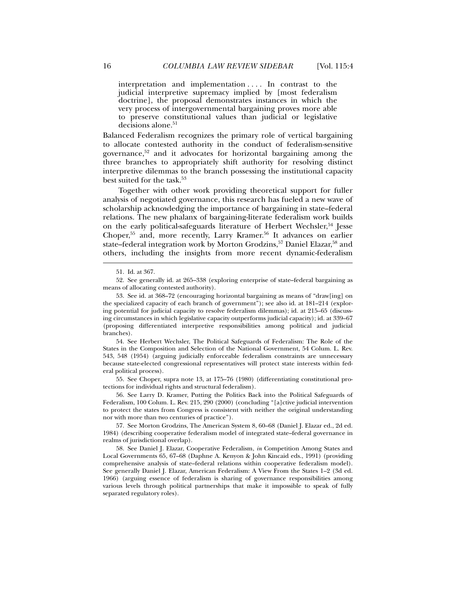interpretation and implementation . . . . In contrast to the judicial interpretive supremacy implied by [most federalism doctrine], the proposal demonstrates instances in which the very process of intergovernmental bargaining proves more able to preserve constitutional values than judicial or legislative decisions alone.<sup>51</sup>

Balanced Federalism recognizes the primary role of vertical bargaining to allocate contested authority in the conduct of federalism-sensitive governance,52 and it advocates for horizontal bargaining among the three branches to appropriately shift authority for resolving distinct interpretive dilemmas to the branch possessing the institutional capacity best suited for the task.<sup>53</sup>

Together with other work providing theoretical support for fuller analysis of negotiated governance, this research has fueled a new wave of scholarship acknowledging the importance of bargaining in state–federal relations. The new phalanx of bargaining-literate federalism work builds on the early political-safeguards literature of Herbert Wechsler,54 Jesse Choper,<sup>55</sup> and, more recently, Larry Kramer.<sup>56</sup> It advances on earlier state–federal integration work by Morton Grodzins,<sup>57</sup> Daniel Elazar,<sup>58</sup> and others, including the insights from more recent dynamic-federalism

l

 54. See Herbert Wechsler, The Political Safeguards of Federalism: The Role of the States in the Composition and Selection of the National Government, 54 Colum. L. Rev. 543, 548 (1954) (arguing judicially enforceable federalism constraints are unnecessary because state-elected congressional representatives will protect state interests within federal political process).

 55. See Choper, supra note 13, at 175–76 (1980) (differentiating constitutional protections for individual rights and structural federalism).

 56. See Larry D. Kramer, Putting the Politics Back into the Political Safeguards of Federalism, 100 Colum. L. Rev. 215, 290 (2000) (concluding "[a]ctive judicial intervention to protect the states from Congress is consistent with neither the original understanding nor with more than two centuries of practice").

 57. See Morton Grodzins, The American System 8, 60–68 (Daniel J. Elazar ed., 2d ed. 1984) (describing cooperative federalism model of integrated state–federal governance in realms of jurisdictional overlap).

 58. See Daniel J. Elazar, Cooperative Federalism, *in* Competition Among States and Local Governments 65, 67–68 (Daphne A. Kenyon & John Kincaid eds., 1991) (providing comprehensive analysis of state–federal relations within cooperative federalism model). See generally Daniel J. Elazar, American Federalism: A View From the States 1–2 (3d ed. 1966) (arguing essence of federalism is sharing of governance responsibilities among various levels through political partnerships that make it impossible to speak of fully separated regulatory roles).

 <sup>51.</sup> Id. at 367.

 <sup>52.</sup> See generally id. at 265–338 (exploring enterprise of state–federal bargaining as means of allocating contested authority).

 <sup>53.</sup> See id. at 368–72 (encouraging horizontal bargaining as means of "draw[ing] on the specialized capacity of each branch of government"); see also id. at 181–214 (exploring potential for judicial capacity to resolve federalism dilemmas); id. at 215–65 (discussing circumstances in which legislative capacity outperforms judicial capacity); id. at 339–67 (proposing differentiated interpretive responsibilities among political and judicial branches).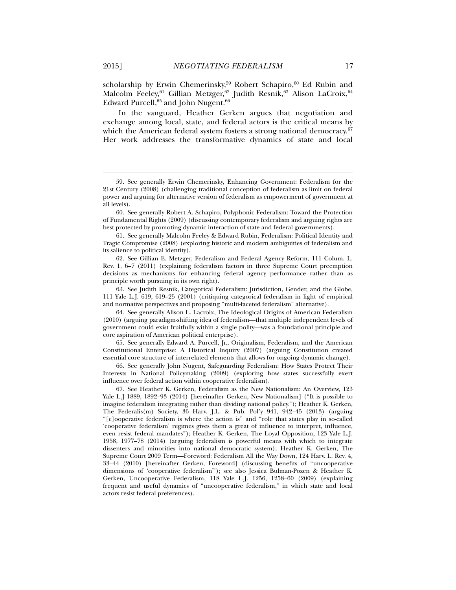scholarship by Erwin Chemerinsky,<sup>59</sup> Robert Schapiro,<sup>60</sup> Ed Rubin and Malcolm Feeley,<sup>61</sup> Gillian Metzger,<sup>62</sup> Judith Resnik,<sup>63</sup> Alison LaCroix,<sup>64</sup> Edward Purcell,<sup>65</sup> and John Nugent.<sup>66</sup>

In the vanguard, Heather Gerken argues that negotiation and exchange among local, state, and federal actors is the critical means by which the American federal system fosters a strong national democracy.<sup>67</sup> Her work addresses the transformative dynamics of state and local

 63. See Judith Resnik, Categorical Federalism: Jurisdiction, Gender, and the Globe, 111 Yale L.J. 619, 619–25 (2001) (critiquing categorical federalism in light of empirical and normative perspectives and proposing "multi-faceted federalism" alternative).

 64. See generally Alison L. Lacroix, The Ideological Origins of American Federalism (2010) (arguing paradigm-shifting idea of federalism—that multiple independent levels of government could exist fruitfully within a single polity—was a foundational principle and core aspiration of American political enterprise).

 65. See generally Edward A. Purcell, Jr., Originalism, Federalism, and the American Constitutional Enterprise: A Historical Inquiry (2007) (arguing Constitution created essential core structure of interrelated elements that allows for ongoing dynamic change).

 66. See generally John Nugent, Safeguarding Federalism: How States Protect Their Interests in National Policymaking (2009) (exploring how states successfully exert influence over federal action within cooperative federalism).

 67. See Heather K. Gerken, Federalism as the New Nationalism: An Overview, 123 Yale L.J 1889, 1892–93 (2014) [hereinafter Gerken, New Nationalism] ("It is possible to imagine federalism integrating rather than dividing national policy."); Heather K. Gerken, The Federalis(m) Society, 36 Harv. J.L. & Pub. Pol'y 941, 942–45 (2013) (arguing "[c]ooperative federalism is where the action is" and "role that states play in so-called 'cooperative federalism' regimes gives them a great of influence to interpret, influence, even resist federal mandates"); Heather K. Gerken, The Loyal Opposition, 123 Yale L.J. 1958, 1977–78 (2014) (arguing federalism is powerful means with which to integrate dissenters and minorities into national democratic system); Heather K. Gerken, The Supreme Court 2009 Term—Foreword: Federalism All the Way Down, 124 Harv. L. Rev. 4, 33–44 (2010) [hereinafter Gerken, Foreword] (discussing benefits of "uncooperative dimensions of 'cooperative federalism'"); see also Jessica Bulman-Pozen & Heather K. Gerken, Uncooperative Federalism, 118 Yale L.J. 1256, 1258–60 (2009) (explaining frequent and useful dynamics of "uncooperative federalism," in which state and local actors resist federal preferences).

 <sup>59.</sup> See generally Erwin Chemerinsky, Enhancing Government: Federalism for the 21st Century (2008) (challenging traditional conception of federalism as limit on federal power and arguing for alternative version of federalism as empowerment of government at all levels).

 <sup>60.</sup> See generally Robert A. Schapiro, Polyphonic Federalism: Toward the Protection of Fundamental Rights (2009) (discussing contemporary federalism and arguing rights are best protected by promoting dynamic interaction of state and federal governments).

 <sup>61.</sup> See generally Malcolm Feeley & Edward Rubin, Federalism: Political Identity and Tragic Compromise (2008) (exploring historic and modern ambiguities of federalism and its salience to political identity).

 <sup>62.</sup> See Gillian E. Metzger, Federalism and Federal Agency Reform, 111 Colum. L. Rev. 1, 6–7 (2011) (explaining federalism factors in three Supreme Court preemption decisions as mechanisms for enhancing federal agency performance rather than as principle worth pursuing in its own right).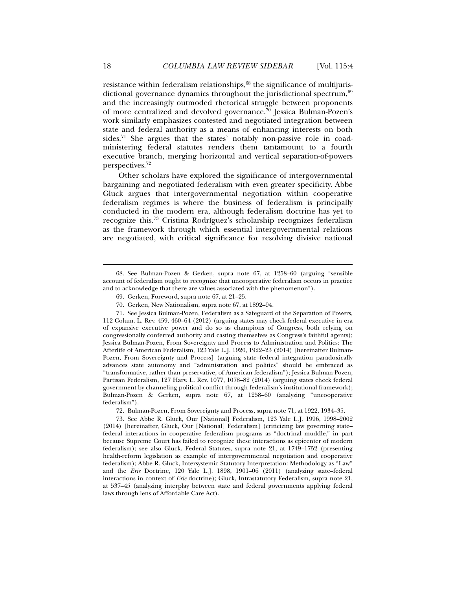resistance within federalism relationships,<sup>68</sup> the significance of multijurisdictional governance dynamics throughout the jurisdictional spectrum,  $69$ and the increasingly outmoded rhetorical struggle between proponents of more centralized and devolved governance.70 Jessica Bulman-Pozen's work similarly emphasizes contested and negotiated integration between state and federal authority as a means of enhancing interests on both sides.<sup>71</sup> She argues that the states' notably non-passive role in coadministering federal statutes renders them tantamount to a fourth executive branch, merging horizontal and vertical separation-of-powers perspectives.72

Other scholars have explored the significance of intergovernmental bargaining and negotiated federalism with even greater specificity. Abbe Gluck argues that intergovernmental negotiation within cooperative federalism regimes is where the business of federalism is principally conducted in the modern era, although federalism doctrine has yet to recognize this.73 Cristina Rodríguez's scholarship recognizes federalism as the framework through which essential intergovernmental relations are negotiated, with critical significance for resolving divisive national

 <sup>68.</sup> See Bulman-Pozen & Gerken, supra note 67, at 1258–60 (arguing "sensible account of federalism ought to recognize that uncooperative federalism occurs in practice and to acknowledge that there are values associated with the phenomenon").

 <sup>69.</sup> Gerken, Foreword, supra note 67, at 21–25.

 <sup>70.</sup> Gerken, New Nationalism, supra note 67, at 1892–94.

 <sup>71.</sup> See Jessica Bulman-Pozen, Federalism as a Safeguard of the Separation of Powers, 112 Colum. L. Rev. 459, 460–64 (2012) (arguing states may check federal executive in era of expansive executive power and do so as champions of Congress, both relying on congressionally conferred authority and casting themselves as Congress's faithful agents); Jessica Bulman-Pozen, From Sovereignty and Process to Administration and Politics: The Afterlife of American Federalism, 123 Yale L.J. 1920, 1922–23 (2014) [hereinafter Bulman-Pozen, From Sovereignty and Process] (arguing state–federal integration paradoxically advances state autonomy and "administration and politics" should be embraced as "transformative, rather than preservative, of American federalism"); Jessica Bulman-Pozen, Partisan Federalism, 127 Harv. L. Rev. 1077, 1078–82 (2014) (arguing states check federal government by channeling political conflict through federalism's institutional framework); Bulman-Pozen & Gerken, supra note 67, at 1258–60 (analyzing "uncooperative federalism").

 <sup>72.</sup> Bulman-Pozen, From Sovereignty and Process, supra note 71, at 1922, 1934–35.

 <sup>73.</sup> See Abbe R. Gluck, Our [National] Federalism, 123 Yale L.J. 1996, 1998–2002 (2014) [hereinafter, Gluck, Our [National] Federalism] (criticizing law governing state– federal interactions in cooperative federalism programs as "doctrinal muddle," in part because Supreme Court has failed to recognize these interactions as epicenter of modern federalism); see also Gluck, Federal Statutes, supra note 21, at 1749–1752 (presenting health-reform legislation as example of intergovernmental negotiation and cooperative federalism); Abbe R. Gluck, Intersystemic Statutory Interpretation: Methodology as "Law" and the *Erie* Doctrine, 120 Yale L.J. 1898, 1901–06 (2011) (analyzing state–federal interactions in context of *Erie* doctrine); Gluck, Intrastatutory Federalism, supra note 21, at 537–45 (analyzing interplay between state and federal governments applying federal laws through lens of Affordable Care Act).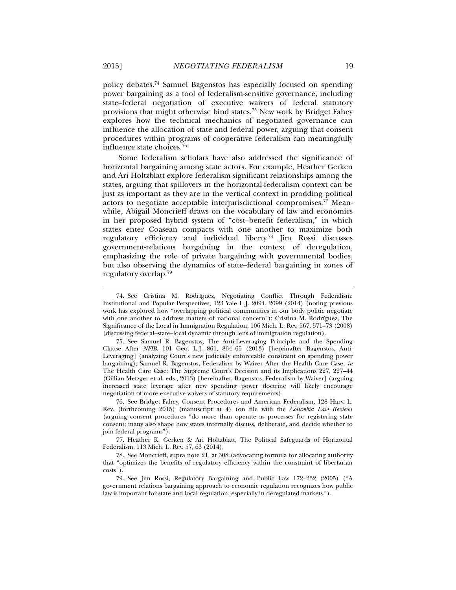policy debates.74 Samuel Bagenstos has especially focused on spending power bargaining as a tool of federalism-sensitive governance, including state–federal negotiation of executive waivers of federal statutory provisions that might otherwise bind states.75 New work by Bridget Fahey explores how the technical mechanics of negotiated governance can influence the allocation of state and federal power, arguing that consent procedures within programs of cooperative federalism can meaningfully influence state choices.76

Some federalism scholars have also addressed the significance of horizontal bargaining among state actors. For example, Heather Gerken and Ari Holtzblatt explore federalism-significant relationships among the states, arguing that spillovers in the horizontal-federalism context can be just as important as they are in the vertical context in prodding political actors to negotiate acceptable interjurisdictional compromises.77 Meanwhile, Abigail Moncrieff draws on the vocabulary of law and economics in her proposed hybrid system of "cost–benefit federalism," in which states enter Coasean compacts with one another to maximize both regulatory efficiency and individual liberty.78 Jim Rossi discusses government-relations bargaining in the context of deregulation, emphasizing the role of private bargaining with governmental bodies, but also observing the dynamics of state–federal bargaining in zones of regulatory overlap.79

 77. Heather K. Gerken & Ari Holtzblatt, The Political Safeguards of Horizontal Federalism, 113 Mich. L. Rev. 57, 63 (2014).

 <sup>74.</sup> See Cristina M. Rodríguez, Negotiating Conflict Through Federalism: Institutional and Popular Perspectives, 123 Yale L.J. 2094, 2099 (2014) (noting previous work has explored how "overlapping political communities in our body politic negotiate with one another to address matters of national concern"); Cristina M. Rodríguez, The Significance of the Local in Immigration Regulation, 106 Mich. L. Rev. 567, 571–73 (2008) (discussing federal–state–local dynamic through lens of immigration regulation).

 <sup>75.</sup> See Samuel R. Bagenstos, The Anti-Leveraging Principle and the Spending Clause After *NFIB*, 101 Geo. L.J. 861, 864–65 (2013) [hereinafter Bagenstos, Anti-Leveraging] (analyzing Court's new judicially enforceable constraint on spending power bargaining); Samuel R. Bagenstos, Federalism by Waiver After the Health Care Case, *in* The Health Care Case: The Supreme Court's Decision and its Implications 227, 227–44 (Gillian Metzger et al. eds., 2013) [hereinafter, Bagenstos, Federalism by Waiver] (arguing increased state leverage after new spending power doctrine will likely encourage negotiation of more executive waivers of statutory requirements).

 <sup>76.</sup> See Bridget Fahey, Consent Procedures and American Federalism, 128 Harv. L. Rev. (forthcoming 2015) (manuscript at 4) (on file with the *Columbia Law Review*) (arguing consent procedures "do more than operate as processes for registering state consent; many also shape how states internally discuss, deliberate, and decide whether to join federal programs").

 <sup>78.</sup> See Moncrieff, supra note 21, at 308 (advocating formula for allocating authority that "optimizes the benefits of regulatory efficiency within the constraint of libertarian costs").

 <sup>79.</sup> See Jim Rossi, Regulatory Bargaining and Public Law 172–232 (2005) ("A government relations bargaining approach to economic regulation recognizes how public law is important for state and local regulation, especially in deregulated markets.").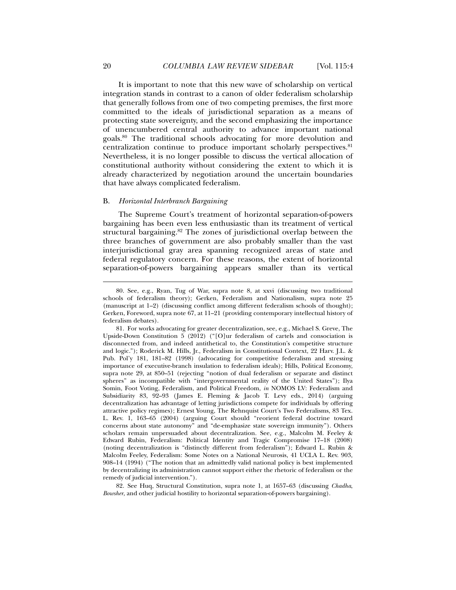It is important to note that this new wave of scholarship on vertical integration stands in contrast to a canon of older federalism scholarship that generally follows from one of two competing premises, the first more committed to the ideals of jurisdictional separation as a means of protecting state sovereignty, and the second emphasizing the importance of unencumbered central authority to advance important national goals.80 The traditional schools advocating for more devolution and centralization continue to produce important scholarly perspectives.<sup>81</sup> Nevertheless, it is no longer possible to discuss the vertical allocation of constitutional authority without considering the extent to which it is already characterized by negotiation around the uncertain boundaries that have always complicated federalism.

### B. *Horizontal Interbranch Bargaining*

The Supreme Court's treatment of horizontal separation-of-powers bargaining has been even less enthusiastic than its treatment of vertical structural bargaining.82 The zones of jurisdictional overlap between the three branches of government are also probably smaller than the vast interjurisdictional gray area spanning recognized areas of state and federal regulatory concern. For these reasons, the extent of horizontal separation-of-powers bargaining appears smaller than its vertical

 82. See Huq, Structural Constitution, supra note 1, at 1657–63 (discussing *Chadha*, *Bowsher*, and other judicial hostility to horizontal separation-of-powers bargaining).

 <sup>80.</sup> See, e.g., Ryan, Tug of War, supra note 8, at xxvi (discussing two traditional schools of federalism theory); Gerken, Federalism and Nationalism, supra note 25 (manuscript at 1–2) (discussing conflict among different federalism schools of thought); Gerken, Foreword, supra note 67, at 11–21 (providing contemporary intellectual history of federalism debates).

 <sup>81.</sup> For works advocating for greater decentralization, see, e.g., Michael S. Greve, The Upside-Down Constitution 5 (2012) ("[O]ur federalism of cartels and consociation is disconnected from, and indeed antithetical to, the Constitution's competitive structure and logic."); Roderick M. Hills, Jr., Federalism in Constitutional Context, 22 Harv. J.L. & Pub. Pol'y 181, 181–82 (1998) (advocating for competitive federalism and stressing importance of executive-branch insulation to federalism ideals); Hills, Political Economy, supra note 29, at 850–51 (rejecting "notion of dual federalism or separate and distinct spheres" as incompatible with "intergovernmental reality of the United States"); Ilya Somin, Foot Voting, Federalism, and Political Freedom, *in* NOMOS LV: Federalism and Subsidiarity 83, 92–93 (James E. Fleming & Jacob T. Levy eds., 2014) (arguing decentralization has advantage of letting jurisdictions compete for individuals by offering attractive policy regimes); Ernest Young, The Rehnquist Court's Two Federalisms, 83 Tex. L. Rev. 1, 163–65 (2004) (arguing Court should "reorient federal doctrine toward concerns about state autonomy" and "de-emphasize state sovereign immunity"). Others scholars remain unpersuaded about decentralization. See, e.g., Malcolm M. Feeley & Edward Rubin, Federalism: Political Identity and Tragic Compromise 17–18 (2008) (noting decentralization is "distinctly different from federalism"); Edward L. Rubin & Malcolm Feeley, Federalism: Some Notes on a National Neurosis, 41 UCLA L. Rev. 903, 908–14 (1994) ("The notion that an admittedly valid national policy is best implemented by decentralizing its administration cannot support either the rhetoric of federalism or the remedy of judicial intervention.").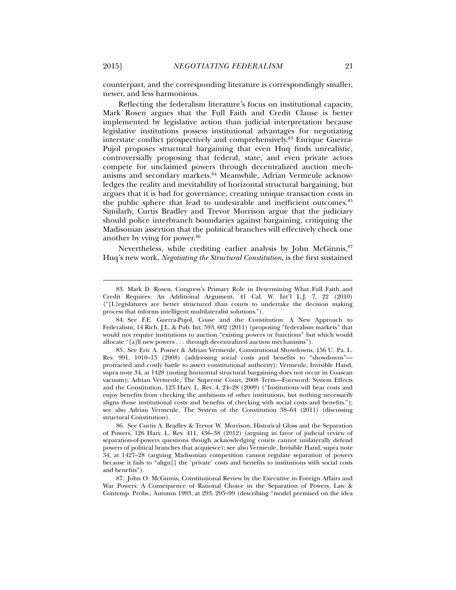counterpart, and the corresponding literature is correspondingly smaller, newer, and less harmonious.

Reflecting the federalism literature's focus on institutional capacity, Mark Rosen argues that the Full Faith and Credit Clause is better implemented by legislative action than judicial interpretation because legislative institutions possess institutional advantages for negotiating interstate conflict prospectively and comprehensively.83 Enrique Guerra-Pujol proposes structural bargaining that even Huq finds unrealistic, controversially proposing that federal, state, and even private actors compete for unclaimed powers through decentralized auction mechanisms and secondary markets.84 Meanwhile, Adrian Vermeule acknowledges the reality and inevitability of horizontal structural bargaining, but argues that it is bad for governance, creating unique transaction costs in the public sphere that lead to undesirable and inefficient outcomes.<sup>85</sup> Similarly, Curtis Bradley and Trevor Morrison argue that the judiciary should police interbranch boundaries against bargaining, critiquing the Madisonian assertion that the political branches will effectively check one another by vying for power.<sup>86</sup>

Nevertheless, while crediting earlier analysis by John McGinnis,<sup>87</sup> Huq's new work, *Negotiating the Structural Constitution*, is the first sustained

 <sup>83.</sup> Mark D. Rosen, Congress's Primary Role in Determining What Full Faith and Credit Requires: An Additional Argument, 41 Cal. W. Int'l L.J. 7, 22 (2010) ("[L]egislatures are better structured than courts to undertake the decision making process that informs intelligent multilateralist solutions.").

 <sup>84.</sup> See F.E. Guerra-Pujol, Coase and the Constitution: A New Approach to Federalism, 14 Rich. J.L. & Pub. Int. 593, 602 (2011) (proposing "federalism markets" that would not require institutions to auction "existing powers or functions" but which would allocate "[a]ll new powers . . . through decentralized auction mechanisms").

 <sup>85.</sup> See Eric A. Posner & Adrian Vermeule, Constitutional Showdowns, 156 U. Pa. L. Rev. 991, 1010–15 (2008) (addressing social costs and benefits to "showdowns" protracted and costly battle to assert constitutional authority); Vermeule, Invisible Hand, supra note 34, at 1428 (noting horizontal structural bargaining does not occur in Coasean vacuum); Adrian Vermeule, The Supreme Court, 2008 Term—Foreword: System Effects and the Constitution, 123 Harv. L. Rev. 4, 24–28 (2009) ("Institutions will bear costs and enjoy benefits from checking the ambitions of other institutions, but nothing necessarily aligns those institutional costs and benefits of checking with social costs and benefits."); see also Adrian Vermeule, The System of the Constitution 38–64 (2011) (discussing structural Constitution).

 <sup>86.</sup> See Curtis A. Bradley & Trevor W. Morrison, Historical Gloss and the Separation of Powers, 126 Harv. L. Rev. 411, 436–38 (2012) (arguing in favor of judicial review of separation-of-powers questions though acknowledging courts cannot unilaterally defend powers of political branches that acquiesce); see also Vermeule, Invisible Hand, supra note 34, at 1427–28 (arguing Madisonian competition cannot regulate separation of powers because it fails to "align[] the 'private' costs and benefits to institutions with social costs and benefits").

 <sup>87.</sup> John O. McGinnis, Constitutional Review by the Executive in Foreign Affairs and War Powers: A Consequence of Rational Choice in the Separation of Powers, Law & Contemp. Probs., Autumn 1993, at 293, 295–99 (describing "model premised on the idea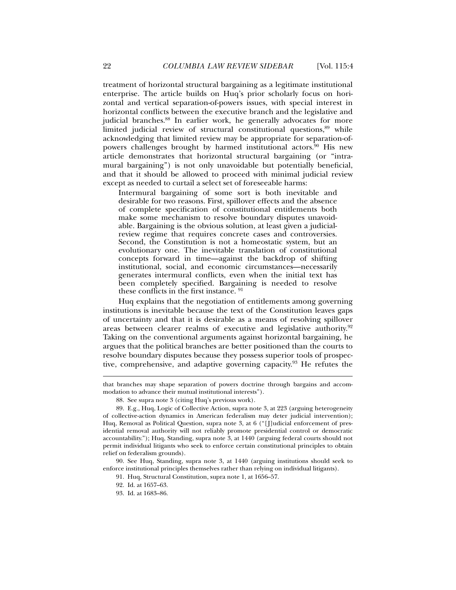treatment of horizontal structural bargaining as a legitimate institutional enterprise. The article builds on Huq's prior scholarly focus on horizontal and vertical separation-of-powers issues, with special interest in horizontal conflicts between the executive branch and the legislative and judicial branches.<sup>88</sup> In earlier work, he generally advocates for more limited judicial review of structural constitutional questions, <sup>89</sup> while acknowledging that limited review may be appropriate for separation-ofpowers challenges brought by harmed institutional actors.<sup>90</sup> His new article demonstrates that horizontal structural bargaining (or "intramural bargaining") is not only unavoidable but potentially beneficial, and that it should be allowed to proceed with minimal judicial review except as needed to curtail a select set of foreseeable harms:

Intermural bargaining of some sort is both inevitable and desirable for two reasons. First, spillover effects and the absence of complete specification of constitutional entitlements both make some mechanism to resolve boundary disputes unavoidable. Bargaining is the obvious solution, at least given a judicialreview regime that requires concrete cases and controversies. Second, the Constitution is not a homeostatic system, but an evolutionary one. The inevitable translation of constitutional concepts forward in time—against the backdrop of shifting institutional, social, and economic circumstances—necessarily generates intermural conflicts, even when the initial text has been completely specified. Bargaining is needed to resolve these conflicts in the first instance. 91

Huq explains that the negotiation of entitlements among governing institutions is inevitable because the text of the Constitution leaves gaps of uncertainty and that it is desirable as a means of resolving spillover areas between clearer realms of executive and legislative authority.92 Taking on the conventional arguments against horizontal bargaining, he argues that the political branches are better positioned than the courts to resolve boundary disputes because they possess superior tools of prospective, comprehensive, and adaptive governing capacity.93 He refutes the

that branches may shape separation of powers doctrine through bargains and accommodation to advance their mutual institutional interests").

 <sup>88.</sup> See supra note 3 (citing Huq's previous work).

 <sup>89.</sup> E.g., Huq, Logic of Collective Action, supra note 3, at 223 (arguing heterogeneity of collective-action dynamics in American federalism may deter judicial intervention); Huq, Removal as Political Question, supra note 3, at 6 ("[J]udicial enforcement of presidential removal authority will not reliably promote presidential control or democratic accountability."); Huq, Standing, supra note 3, at 1440 (arguing federal courts should not permit individual litigants who seek to enforce certain constitutional principles to obtain relief on federalism grounds).

 <sup>90.</sup> See Huq, Standing, supra note 3, at 1440 (arguing institutions should seek to enforce institutional principles themselves rather than relying on individual litigants).

 <sup>91.</sup> Huq, Structural Constitution, supra note 1, at 1656–57.

 <sup>92.</sup> Id. at 1657–63.

 <sup>93.</sup> Id. at 1683–86.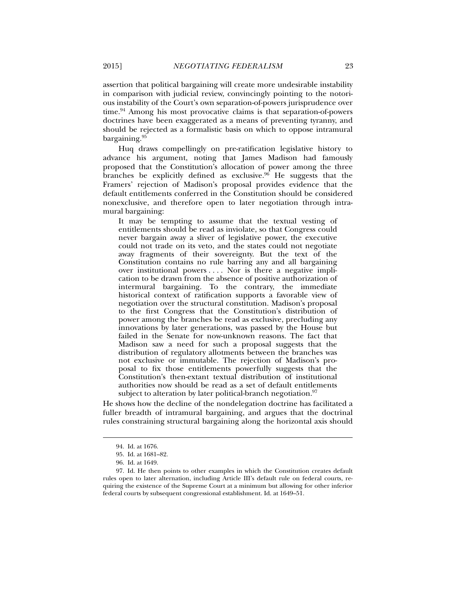assertion that political bargaining will create more undesirable instability in comparison with judicial review, convincingly pointing to the notorious instability of the Court's own separation-of-powers jurisprudence over time.94 Among his most provocative claims is that separation-of-powers doctrines have been exaggerated as a means of preventing tyranny, and should be rejected as a formalistic basis on which to oppose intramural bargaining.95

Huq draws compellingly on pre-ratification legislative history to advance his argument, noting that James Madison had famously proposed that the Constitution's allocation of power among the three branches be explicitly defined as exclusive. $96$  He suggests that the Framers' rejection of Madison's proposal provides evidence that the default entitlements conferred in the Constitution should be considered nonexclusive, and therefore open to later negotiation through intramural bargaining:

It may be tempting to assume that the textual vesting of entitlements should be read as inviolate, so that Congress could never bargain away a sliver of legislative power, the executive could not trade on its veto, and the states could not negotiate away fragments of their sovereignty. But the text of the Constitution contains no rule barring any and all bargaining over institutional powers . . . . Nor is there a negative implication to be drawn from the absence of positive authorization of intermural bargaining. To the contrary, the immediate historical context of ratification supports a favorable view of negotiation over the structural constitution. Madison's proposal to the first Congress that the Constitution's distribution of power among the branches be read as exclusive, precluding any innovations by later generations, was passed by the House but failed in the Senate for now-unknown reasons. The fact that Madison saw a need for such a proposal suggests that the distribution of regulatory allotments between the branches was not exclusive or immutable. The rejection of Madison's proposal to fix those entitlements powerfully suggests that the Constitution's then-extant textual distribution of institutional authorities now should be read as a set of default entitlements subject to alteration by later political-branch negotiation. $97$ 

He shows how the decline of the nondelegation doctrine has facilitated a fuller breadth of intramural bargaining, and argues that the doctrinal rules constraining structural bargaining along the horizontal axis should

 <sup>94.</sup> Id. at 1676.

 <sup>95.</sup> Id. at 1681–82.

 <sup>96.</sup> Id. at 1649.

 <sup>97.</sup> Id. He then points to other examples in which the Constitution creates default rules open to later alternation, including Article III's default rule on federal courts, requiring the existence of the Supreme Court at a minimum but allowing for other inferior federal courts by subsequent congressional establishment. Id. at 1649–51.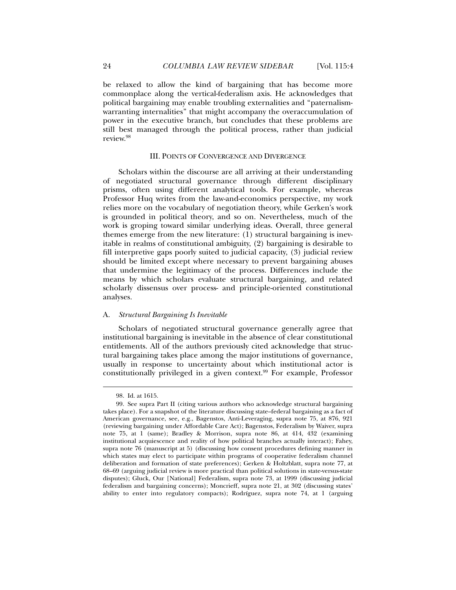be relaxed to allow the kind of bargaining that has become more commonplace along the vertical-federalism axis. He acknowledges that political bargaining may enable troubling externalities and "paternalismwarranting internalities" that might accompany the overaccumulation of power in the executive branch, but concludes that these problems are still best managed through the political process, rather than judicial review.98

# III. POINTS OF CONVERGENCE AND DIVERGENCE

Scholars within the discourse are all arriving at their understanding of negotiated structural governance through different disciplinary prisms, often using different analytical tools. For example, whereas Professor Huq writes from the law-and-economics perspective, my work relies more on the vocabulary of negotiation theory, while Gerken's work is grounded in political theory, and so on. Nevertheless, much of the work is groping toward similar underlying ideas. Overall, three general themes emerge from the new literature: (1) structural bargaining is inevitable in realms of constitutional ambiguity, (2) bargaining is desirable to fill interpretive gaps poorly suited to judicial capacity, (3) judicial review should be limited except where necessary to prevent bargaining abuses that undermine the legitimacy of the process. Differences include the means by which scholars evaluate structural bargaining, and related scholarly dissensus over process- and principle-oriented constitutional analyses.

# A. *Structural Bargaining Is Inevitable*

Scholars of negotiated structural governance generally agree that institutional bargaining is inevitable in the absence of clear constitutional entitlements. All of the authors previously cited acknowledge that structural bargaining takes place among the major institutions of governance, usually in response to uncertainty about which institutional actor is constitutionally privileged in a given context.99 For example, Professor

 <sup>98.</sup> Id. at 1615.

 <sup>99.</sup> See supra Part II (citing various authors who acknowledge structural bargaining takes place). For a snapshot of the literature discussing state–federal bargaining as a fact of American governance, see, e.g., Bagenstos, Anti-Leveraging, supra note 75, at 876, 921 (reviewing bargaining under Affordable Care Act); Bagenstos, Federalism by Waiver, supra note 75, at 1 (same); Bradley & Morrison, supra note 86, at 414, 432 (examining institutional acquiescence and reality of how political branches actually interact); Fahey, supra note 76 (manuscript at 5) (discussing how consent procedures defining manner in which states may elect to participate within programs of cooperative federalism channel deliberation and formation of state preferences); Gerken & Holtzblatt, supra note 77, at 68–69 (arguing judicial review is more practical than political solutions in state-versus-state disputes); Gluck, Our [National] Federalism, supra note 73, at 1999 (discussing judicial federalism and bargaining concerns); Moncrieff, supra note 21, at 302 (discussing states' ability to enter into regulatory compacts); Rodríguez, supra note 74, at 1 (arguing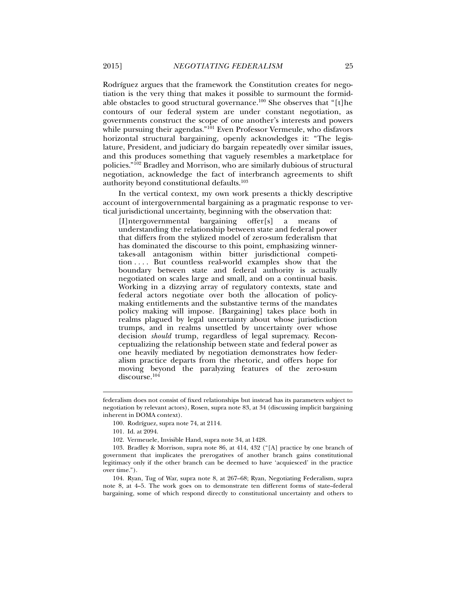Rodríguez argues that the framework the Constitution creates for negotiation is the very thing that makes it possible to surmount the formidable obstacles to good structural governance.100 She observes that "[t]he contours of our federal system are under constant negotiation, as governments construct the scope of one another's interests and powers while pursuing their agendas."<sup>101</sup> Even Professor Vermeule, who disfavors horizontal structural bargaining, openly acknowledges it: "The legislature, President, and judiciary do bargain repeatedly over similar issues, and this produces something that vaguely resembles a marketplace for policies."102 Bradley and Morrison, who are similarly dubious of structural negotiation, acknowledge the fact of interbranch agreements to shift authority beyond constitutional defaults.103

In the vertical context, my own work presents a thickly descriptive account of intergovernmental bargaining as a pragmatic response to vertical jurisdictional uncertainty, beginning with the observation that:

[I]ntergovernmental bargaining offer[s] a means of understanding the relationship between state and federal power that differs from the stylized model of zero-sum federalism that has dominated the discourse to this point, emphasizing winnertakes-all antagonism within bitter jurisdictional competition . . . . But countless real-world examples show that the boundary between state and federal authority is actually negotiated on scales large and small, and on a continual basis. Working in a dizzying array of regulatory contexts, state and federal actors negotiate over both the allocation of policymaking entitlements and the substantive terms of the mandates policy making will impose. [Bargaining] takes place both in realms plagued by legal uncertainty about whose jurisdiction trumps, and in realms unsettled by uncertainty over whose decision *should* trump, regardless of legal supremacy. Reconceptualizing the relationship between state and federal power as one heavily mediated by negotiation demonstrates how federalism practice departs from the rhetoric, and offers hope for moving beyond the paralyzing features of the zero-sum discourse.<sup>104</sup>

federalism does not consist of fixed relationships but instead has its parameters subject to negotiation by relevant actors), Rosen, supra note 83, at 34 (discussing implicit bargaining inherent in DOMA context).

 <sup>100.</sup> Rodríguez, supra note 74, at 2114.

 <sup>101.</sup> Id. at 2094.

 <sup>102.</sup> Vermeuele, Invisible Hand, supra note 34, at 1428.

 <sup>103.</sup> Bradley & Morrison, supra note 86, at 414, 432 ("[A] practice by one branch of government that implicates the prerogatives of another branch gains constitutional legitimacy only if the other branch can be deemed to have 'acquiesced' in the practice over time.").

 <sup>104.</sup> Ryan, Tug of War, supra note 8, at 267–68; Ryan, Negotiating Federalism, supra note 8, at 4–5. The work goes on to demonstrate ten different forms of state–federal bargaining, some of which respond directly to constitutional uncertainty and others to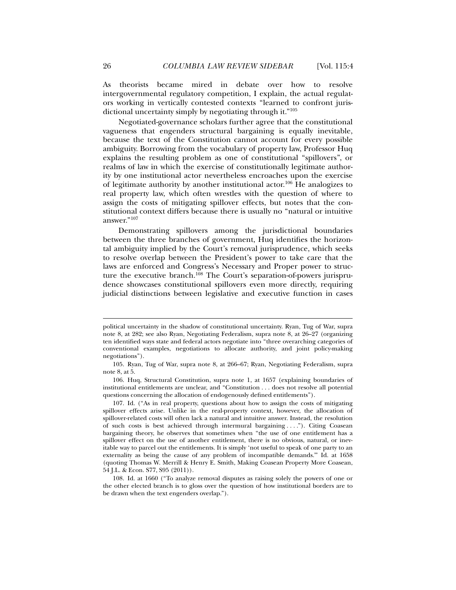As theorists became mired in debate over how to resolve intergovernmental regulatory competition, I explain, the actual regulators working in vertically contested contexts "learned to confront jurisdictional uncertainty simply by negotiating through it."105

Negotiated-governance scholars further agree that the constitutional vagueness that engenders structural bargaining is equally inevitable, because the text of the Constitution cannot account for every possible ambiguity. Borrowing from the vocabulary of property law, Professor Huq explains the resulting problem as one of constitutional "spillovers", or realms of law in which the exercise of constitutionally legitimate authority by one institutional actor nevertheless encroaches upon the exercise of legitimate authority by another institutional actor.<sup>106</sup> He analogizes to real property law, which often wrestles with the question of where to assign the costs of mitigating spillover effects, but notes that the constitutional context differs because there is usually no "natural or intuitive answer."107

Demonstrating spillovers among the jurisdictional boundaries between the three branches of government, Huq identifies the horizontal ambiguity implied by the Court's removal jurisprudence, which seeks to resolve overlap between the President's power to take care that the laws are enforced and Congress's Necessary and Proper power to structure the executive branch.<sup>108</sup> The Court's separation-of-powers jurisprudence showcases constitutional spillovers even more directly, requiring judicial distinctions between legislative and executive function in cases

political uncertainty in the shadow of constitutional uncertainty. Ryan, Tug of War, supra note 8, at 282; see also Ryan, Negotiating Federalism, supra note 8, at 26–27 (organizing ten identified ways state and federal actors negotiate into "three overarching categories of conventional examples, negotiations to allocate authority, and joint policy-making negotiations").

 <sup>105.</sup> Ryan, Tug of War, supra note 8, at 266–67; Ryan, Negotiating Federalism, supra note 8, at 5.

 <sup>106.</sup> Huq, Structural Constitution, supra note 1, at 1657 (explaining boundaries of institutional entitlements are unclear, and "Constitution . . . does not resolve all potential questions concerning the allocation of endogenously defined entitlements").

 <sup>107.</sup> Id. ("As in real property, questions about how to assign the costs of mitigating spillover effects arise. Unlike in the real-property context, however, the allocation of spillover-related costs will often lack a natural and intuitive answer. Instead, the resolution of such costs is best achieved through intermural bargaining . . . ."). Citing Coasean bargaining theory, he observes that sometimes when "the use of one entitlement has a spillover effect on the use of another entitlement, there is no obvious, natural, or inevitable way to parcel out the entitlements. It is simply 'not useful to speak of one party to an externality as being the cause of any problem of incompatible demands.'" Id. at 1658 (quoting Thomas W. Merrill & Henry E. Smith, Making Coasean Property More Coasean, 54 J.L. & Econ. S77, S95 (2011)).

 <sup>108.</sup> Id. at 1660 ("To analyze removal disputes as raising solely the powers of one or the other elected branch is to gloss over the question of how institutional borders are to be drawn when the text engenders overlap.").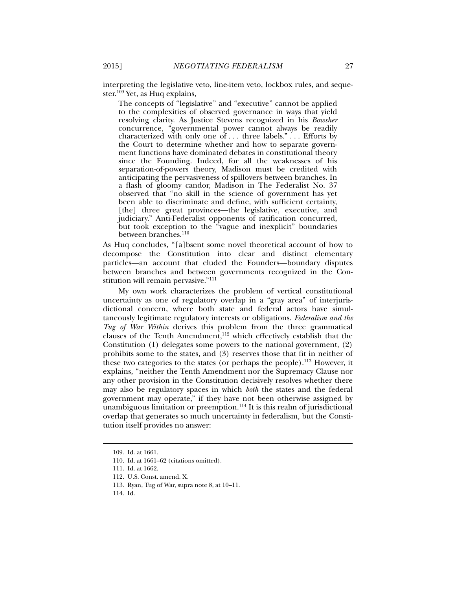interpreting the legislative veto, line-item veto, lockbox rules, and sequester.<sup>109</sup> Yet, as Huq explains,

The concepts of "legislative" and "executive" cannot be applied to the complexities of observed governance in ways that yield resolving clarity. As Justice Stevens recognized in his *Bowsher* concurrence, "governmental power cannot always be readily characterized with only one of  $\dots$  three labels."  $\dots$  Efforts by the Court to determine whether and how to separate government functions have dominated debates in constitutional theory since the Founding. Indeed, for all the weaknesses of his separation-of-powers theory, Madison must be credited with anticipating the pervasiveness of spillovers between branches. In a flash of gloomy candor, Madison in The Federalist No. 37 observed that "no skill in the science of government has yet been able to discriminate and define, with sufficient certainty, [the] three great provinces—the legislative, executive, and judiciary." Anti-Federalist opponents of ratification concurred, but took exception to the "vague and inexplicit" boundaries between branches.<sup>110</sup>

As Huq concludes, "[a]bsent some novel theoretical account of how to decompose the Constitution into clear and distinct elementary particles—an account that eluded the Founders—boundary disputes between branches and between governments recognized in the Constitution will remain pervasive."111

My own work characterizes the problem of vertical constitutional uncertainty as one of regulatory overlap in a "gray area" of interjurisdictional concern, where both state and federal actors have simultaneously legitimate regulatory interests or obligations. *Federalism and the Tug of War Within* derives this problem from the three grammatical clauses of the Tenth Amendment, $112$  which effectively establish that the Constitution (1) delegates some powers to the national government, (2) prohibits some to the states, and (3) reserves those that fit in neither of these two categories to the states (or perhaps the people).<sup>113</sup> However, it explains, "neither the Tenth Amendment nor the Supremacy Clause nor any other provision in the Constitution decisively resolves whether there may also be regulatory spaces in which *both* the states and the federal government may operate," if they have not been otherwise assigned by unambiguous limitation or preemption.<sup>114</sup> It is this realm of jurisdictional overlap that generates so much uncertainty in federalism, but the Constitution itself provides no answer:

 <sup>109.</sup> Id. at 1661.

 <sup>110.</sup> Id. at 1661–62 (citations omitted).

 <sup>111.</sup> Id. at 1662.

 <sup>112.</sup> U.S. Const. amend. X.

 <sup>113.</sup> Ryan, Tug of War, supra note 8, at 10–11.

 <sup>114.</sup> Id.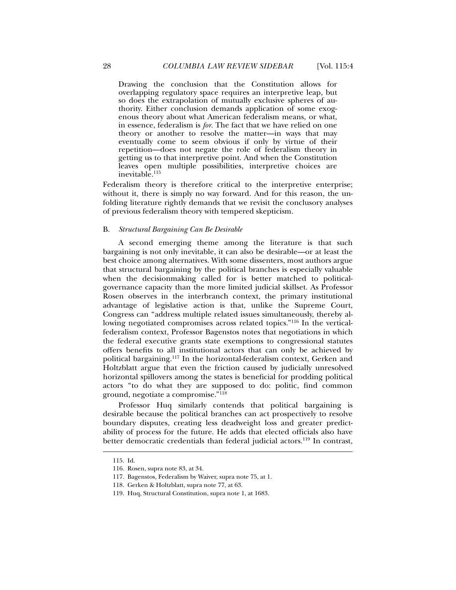Drawing the conclusion that the Constitution allows for overlapping regulatory space requires an interpretive leap, but so does the extrapolation of mutually exclusive spheres of authority. Either conclusion demands application of some exogenous theory about what American federalism means, or what, in essence, federalism is *for*. The fact that we have relied on one theory or another to resolve the matter—in ways that may eventually come to seem obvious if only by virtue of their repetition—does not negate the role of federalism theory in getting us to that interpretive point. And when the Constitution leaves open multiple possibilities, interpretive choices are inevitable.<sup>115</sup>

Federalism theory is therefore critical to the interpretive enterprise; without it, there is simply no way forward. And for this reason, the unfolding literature rightly demands that we revisit the conclusory analyses of previous federalism theory with tempered skepticism.

## B. *Structural Bargaining Can Be Desirable*

A second emerging theme among the literature is that such bargaining is not only inevitable, it can also be desirable—or at least the best choice among alternatives. With some dissenters, most authors argue that structural bargaining by the political branches is especially valuable when the decisionmaking called for is better matched to politicalgovernance capacity than the more limited judicial skillset. As Professor Rosen observes in the interbranch context, the primary institutional advantage of legislative action is that, unlike the Supreme Court, Congress can "address multiple related issues simultaneously, thereby allowing negotiated compromises across related topics."116 In the verticalfederalism context, Professor Bagenstos notes that negotiations in which the federal executive grants state exemptions to congressional statutes offers benefits to all institutional actors that can only be achieved by political bargaining.117 In the horizontal-federalism context, Gerken and Holtzblatt argue that even the friction caused by judicially unresolved horizontal spillovers among the states is beneficial for prodding political actors "to do what they are supposed to do: politic, find common ground, negotiate a compromise."118

Professor Huq similarly contends that political bargaining is desirable because the political branches can act prospectively to resolve boundary disputes, creating less deadweight loss and greater predictability of process for the future. He adds that elected officials also have better democratic credentials than federal judicial actors.<sup>119</sup> In contrast,

 <sup>115.</sup> Id.

 <sup>116.</sup> Rosen, supra note 83, at 34.

 <sup>117.</sup> Bagenstos, Federalism by Waiver, supra note 75, at 1.

 <sup>118.</sup> Gerken & Holtzblatt, supra note 77, at 63.

 <sup>119.</sup> Huq, Structural Constitution, supra note 1, at 1683.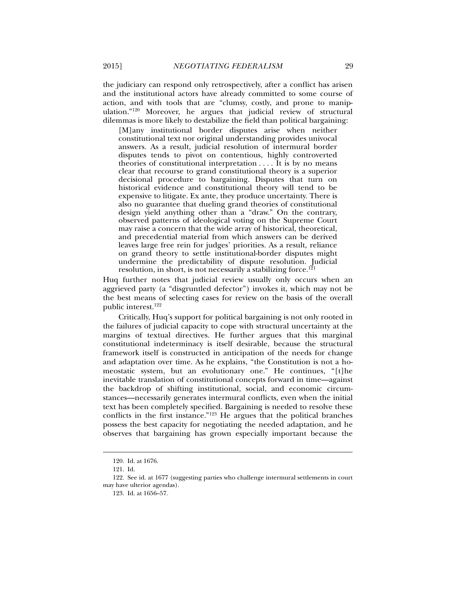the judiciary can respond only retrospectively, after a conflict has arisen and the institutional actors have already committed to some course of action, and with tools that are "clumsy, costly, and prone to manipulation."120 Moreover, he argues that judicial review of structural dilemmas is more likely to destabilize the field than political bargaining:

[M]any institutional border disputes arise when neither constitutional text nor original understanding provides univocal answers. As a result, judicial resolution of intermural border disputes tends to pivot on contentious, highly controverted theories of constitutional interpretation . . . . It is by no means clear that recourse to grand constitutional theory is a superior decisional procedure to bargaining. Disputes that turn on historical evidence and constitutional theory will tend to be expensive to litigate. Ex ante, they produce uncertainty. There is also no guarantee that dueling grand theories of constitutional design yield anything other than a "draw." On the contrary, observed patterns of ideological voting on the Supreme Court may raise a concern that the wide array of historical, theoretical, and precedential material from which answers can be derived leaves large free rein for judges' priorities. As a result, reliance on grand theory to settle institutional-border disputes might undermine the predictability of dispute resolution. Judicial resolution, in short, is not necessarily a stabilizing force.<sup>121</sup>

Huq further notes that judicial review usually only occurs when an aggrieved party (a "disgruntled defector") invokes it, which may not be the best means of selecting cases for review on the basis of the overall public interest.122

Critically, Huq's support for political bargaining is not only rooted in the failures of judicial capacity to cope with structural uncertainty at the margins of textual directives. He further argues that this marginal constitutional indeterminacy is itself desirable, because the structural framework itself is constructed in anticipation of the needs for change and adaptation over time. As he explains, "the Constitution is not a homeostatic system, but an evolutionary one." He continues, "[t]he inevitable translation of constitutional concepts forward in time—against the backdrop of shifting institutional, social, and economic circumstances—necessarily generates intermural conflicts, even when the initial text has been completely specified. Bargaining is needed to resolve these conflicts in the first instance."123 He argues that the political branches possess the best capacity for negotiating the needed adaptation, and he observes that bargaining has grown especially important because the

 <sup>120.</sup> Id. at 1676.

 <sup>121.</sup> Id.

 <sup>122.</sup> See id. at 1677 (suggesting parties who challenge intermural settlements in court may have ulterior agendas).

 <sup>123.</sup> Id. at 1656–57.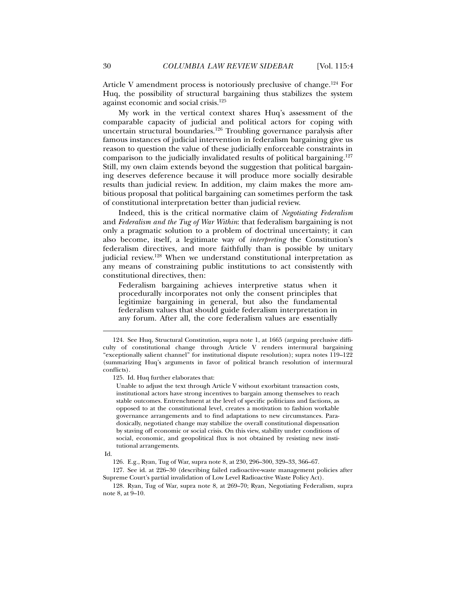Article V amendment process is notoriously preclusive of change.<sup>124</sup> For Huq, the possibility of structural bargaining thus stabilizes the system against economic and social crisis.125

My work in the vertical context shares Huq's assessment of the comparable capacity of judicial and political actors for coping with uncertain structural boundaries.<sup>126</sup> Troubling governance paralysis after famous instances of judicial intervention in federalism bargaining give us reason to question the value of these judicially enforceable constraints in comparison to the judicially invalidated results of political bargaining.127 Still, my own claim extends beyond the suggestion that political bargaining deserves deference because it will produce more socially desirable results than judicial review. In addition, my claim makes the more ambitious proposal that political bargaining can sometimes perform the task of constitutional interpretation better than judicial review.

Indeed, this is the critical normative claim of *Negotiating Federalism* and *Federalism and the Tug of War Within*: that federalism bargaining is not only a pragmatic solution to a problem of doctrinal uncertainty; it can also become, itself, a legitimate way of *interpreting* the Constitution's federalism directives, and more faithfully than is possible by unitary judicial review.<sup>128</sup> When we understand constitutional interpretation as any means of constraining public institutions to act consistently with constitutional directives, then:

Federalism bargaining achieves interpretive status when it procedurally incorporates not only the consent principles that legitimize bargaining in general, but also the fundamental federalism values that should guide federalism interpretation in any forum. After all, the core federalism values are essentially

125. Id. Huq further elaborates that:

Unable to adjust the text through Article V without exorbitant transaction costs, institutional actors have strong incentives to bargain among themselves to reach stable outcomes. Entrenchment at the level of specific politicians and factions, as opposed to at the constitutional level, creates a motivation to fashion workable governance arrangements and to find adaptations to new circumstances. Paradoxically, negotiated change may stabilize the overall constitutional dispensation by staving off economic or social crisis. On this view, stability under conditions of social, economic, and geopolitical flux is not obtained by resisting new institutional arrangements.

 <sup>124.</sup> See Huq, Structural Constitution, supra note 1, at 1665 (arguing preclusive difficulty of constitutional change through Article V renders intermural bargaining "exceptionally salient channel" for institutional dispute resolution); supra notes 119–122 (summarizing Huq's arguments in favor of political branch resolution of intermural conflicts).

Id.

 <sup>126.</sup> E.g., Ryan, Tug of War, supra note 8, at 230, 296–300, 329–33, 366–67.

 <sup>127.</sup> See id. at 226–30 (describing failed radioactive-waste management policies after Supreme Court's partial invalidation of Low Level Radioactive Waste Policy Act).

 <sup>128.</sup> Ryan, Tug of War, supra note 8, at 269–70; Ryan, Negotiating Federalism, supra note 8, at 9–10.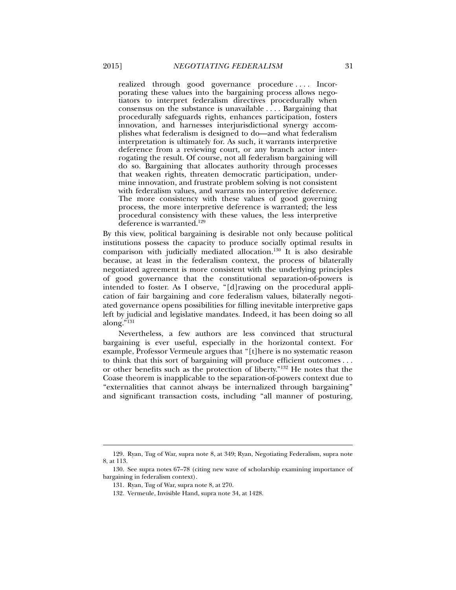realized through good governance procedure .... Incorporating these values into the bargaining process allows negotiators to interpret federalism directives procedurally when consensus on the substance is unavailable . . . . Bargaining that procedurally safeguards rights, enhances participation, fosters innovation, and harnesses interjurisdictional synergy accomplishes what federalism is designed to do—and what federalism interpretation is ultimately for. As such, it warrants interpretive deference from a reviewing court, or any branch actor interrogating the result. Of course, not all federalism bargaining will do so. Bargaining that allocates authority through processes that weaken rights, threaten democratic participation, undermine innovation, and frustrate problem solving is not consistent with federalism values, and warrants no interpretive deference. The more consistency with these values of good governing process, the more interpretive deference is warranted; the less procedural consistency with these values, the less interpretive deference is warranted.<sup>129</sup>

By this view, political bargaining is desirable not only because political institutions possess the capacity to produce socially optimal results in comparison with judicially mediated allocation.130 It is also desirable because, at least in the federalism context, the process of bilaterally negotiated agreement is more consistent with the underlying principles of good governance that the constitutional separation-of-powers is intended to foster. As I observe, "[d]rawing on the procedural application of fair bargaining and core federalism values, bilaterally negotiated governance opens possibilities for filling inevitable interpretive gaps left by judicial and legislative mandates. Indeed, it has been doing so all along."131

Nevertheless, a few authors are less convinced that structural bargaining is ever useful, especially in the horizontal context. For example, Professor Vermeule argues that "[t]here is no systematic reason to think that this sort of bargaining will produce efficient outcomes . . . or other benefits such as the protection of liberty."132 He notes that the Coase theorem is inapplicable to the separation-of-powers context due to "externalities that cannot always be internalized through bargaining" and significant transaction costs, including "all manner of posturing,

 <sup>129.</sup> Ryan, Tug of War, supra note 8, at 349; Ryan, Negotiating Federalism, supra note 8, at 113.

 <sup>130.</sup> See supra notes 67–78 (citing new wave of scholarship examining importance of bargaining in federalism context).

 <sup>131.</sup> Ryan, Tug of War, supra note 8, at 270.

 <sup>132.</sup> Vermeule, Invisible Hand, supra note 34, at 1428.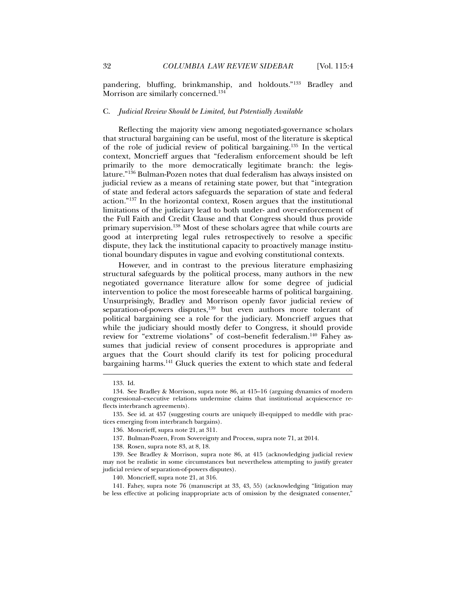pandering, bluffing, brinkmanship, and holdouts."133 Bradley and Morrison are similarly concerned.134

## C. *Judicial Review Should be Limited, but Potentially Available*

Reflecting the majority view among negotiated-governance scholars that structural bargaining can be useful, most of the literature is skeptical of the role of judicial review of political bargaining.135 In the vertical context, Moncrieff argues that "federalism enforcement should be left primarily to the more democratically legitimate branch: the legislature."136 Bulman-Pozen notes that dual federalism has always insisted on judicial review as a means of retaining state power, but that "integration of state and federal actors safeguards the separation of state and federal action."137 In the horizontal context, Rosen argues that the institutional limitations of the judiciary lead to both under- and over-enforcement of the Full Faith and Credit Clause and that Congress should thus provide primary supervision.138 Most of these scholars agree that while courts are good at interpreting legal rules retrospectively to resolve a specific dispute, they lack the institutional capacity to proactively manage institutional boundary disputes in vague and evolving constitutional contexts.

However, and in contrast to the previous literature emphasizing structural safeguards by the political process, many authors in the new negotiated governance literature allow for some degree of judicial intervention to police the most foreseeable harms of political bargaining. Unsurprisingly, Bradley and Morrison openly favor judicial review of separation-of-powers disputes,<sup>139</sup> but even authors more tolerant of political bargaining see a role for the judiciary. Moncrieff argues that while the judiciary should mostly defer to Congress, it should provide review for "extreme violations" of cost–benefit federalism.140 Fahey assumes that judicial review of consent procedures is appropriate and argues that the Court should clarify its test for policing procedural bargaining harms.<sup>141</sup> Gluck queries the extent to which state and federal

 <sup>133.</sup> Id.

 <sup>134.</sup> See Bradley & Morrison, supra note 86, at 415–16 (arguing dynamics of modern congressional–executive relations undermine claims that institutional acquiescence reflects interbranch agreements).

 <sup>135.</sup> See id. at 457 (suggesting courts are uniquely ill-equipped to meddle with practices emerging from interbranch bargains).

 <sup>136.</sup> Moncrieff, supra note 21, at 311.

 <sup>137.</sup> Bulman-Pozen, From Sovereignty and Process, supra note 71, at 2014.

 <sup>138.</sup> Rosen, supra note 83, at 8, 18.

 <sup>139.</sup> See Bradley & Morrison, supra note 86, at 415 (acknowledging judicial review may not be realistic in some circumstances but nevertheless attempting to justify greater judicial review of separation-of-powers disputes).

 <sup>140.</sup> Moncrieff, supra note 21, at 316.

 <sup>141.</sup> Fahey, supra note 76 (manuscript at 33, 43, 55) (acknowledging "litigation may be less effective at policing inappropriate acts of omission by the designated consenter,"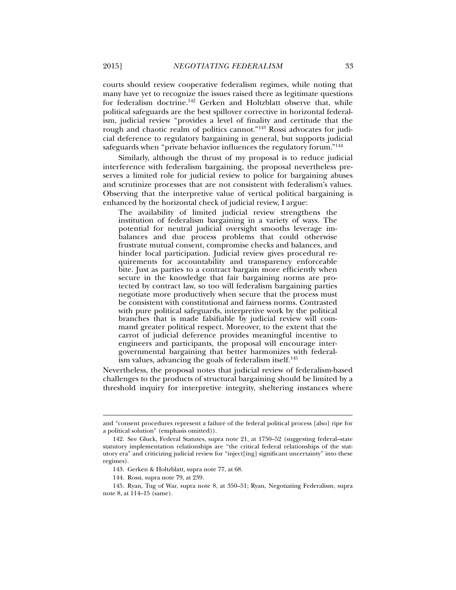courts should review cooperative federalism regimes, while noting that many have yet to recognize the issues raised there as legitimate questions for federalism doctrine.142 Gerken and Holtzblatt observe that, while political safeguards are the best spillover corrective in horizontal federalism, judicial review "provides a level of finality and certitude that the rough and chaotic realm of politics cannot."143 Rossi advocates for judicial deference to regulatory bargaining in general, but supports judicial safeguards when "private behavior influences the regulatory forum."144

Similarly, although the thrust of my proposal is to reduce judicial interference with federalism bargaining, the proposal nevertheless preserves a limited role for judicial review to police for bargaining abuses and scrutinize processes that are not consistent with federalism's values. Observing that the interpretive value of vertical political bargaining is enhanced by the horizontal check of judicial review, I argue:

The availability of limited judicial review strengthens the institution of federalism bargaining in a variety of ways. The potential for neutral judicial oversight smooths leverage imbalances and due process problems that could otherwise frustrate mutual consent, compromise checks and balances, and hinder local participation. Judicial review gives procedural requirements for accountability and transparency enforceable bite. Just as parties to a contract bargain more efficiently when secure in the knowledge that fair bargaining norms are protected by contract law, so too will federalism bargaining parties negotiate more productively when secure that the process must be consistent with constitutional and fairness norms. Contrasted with pure political safeguards, interpretive work by the political branches that is made falsifiable by judicial review will command greater political respect. Moreover, to the extent that the carrot of judicial deference provides meaningful incentive to engineers and participants, the proposal will encourage intergovernmental bargaining that better harmonizes with federalism values, advancing the goals of federalism itself.<sup>145</sup>

Nevertheless, the proposal notes that judicial review of federalism-based challenges to the products of structural bargaining should be limited by a threshold inquiry for interpretive integrity, sheltering instances where

and "consent procedures represent a failure of the federal political process [also] ripe for a political solution" (emphasis omitted)).

 <sup>142.</sup> See Gluck, Federal Statutes, supra note 21, at 1750–52 (suggesting federal–state statutory implementation relationships are "the critical federal relationships of the statutory era" and criticizing judicial review for "inject[ing] significant uncertainty" into these regimes).

 <sup>143.</sup> Gerken & Holtzblatt, supra note 77, at 68.

 <sup>144.</sup> Rossi, supra note 79, at 239.

 <sup>145.</sup> Ryan, Tug of War, supra note 8, at 350–51; Ryan, Negotiating Federalism, supra note 8, at 114–15 (same).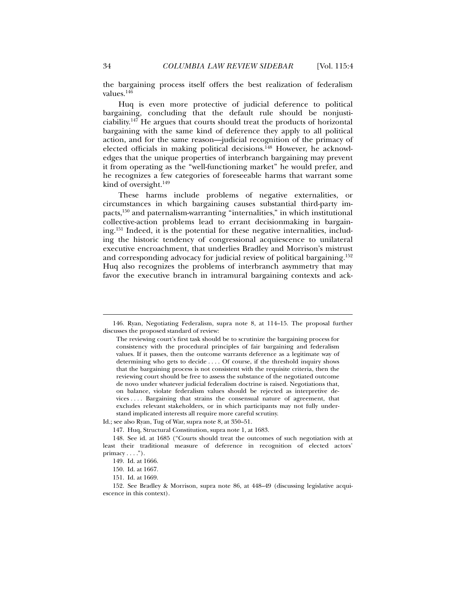the bargaining process itself offers the best realization of federalism values.<sup>146</sup>

Huq is even more protective of judicial deference to political bargaining, concluding that the default rule should be nonjusticiability.147 He argues that courts should treat the products of horizontal bargaining with the same kind of deference they apply to all political action, and for the same reason—judicial recognition of the primacy of elected officials in making political decisions.<sup>148</sup> However, he acknowledges that the unique properties of interbranch bargaining may prevent it from operating as the "well-functioning market" he would prefer, and he recognizes a few categories of foreseeable harms that warrant some kind of oversight. $149$ 

These harms include problems of negative externalities, or circumstances in which bargaining causes substantial third-party impacts,150 and paternalism-warranting "internalities," in which institutional collective-action problems lead to errant decisionmaking in bargaining.151 Indeed, it is the potential for these negative internalities, including the historic tendency of congressional acquiescence to unilateral executive encroachment, that underlies Bradley and Morrison's mistrust and corresponding advocacy for judicial review of political bargaining.152 Huq also recognizes the problems of interbranch asymmetry that may favor the executive branch in intramural bargaining contexts and ack-

 <sup>146.</sup> Ryan, Negotiating Federalism, supra note 8, at 114–15. The proposal further discusses the proposed standard of review:

The reviewing court's first task should be to scrutinize the bargaining process for consistency with the procedural principles of fair bargaining and federalism values. If it passes, then the outcome warrants deference as a legitimate way of determining who gets to decide . . . . Of course, if the threshold inquiry shows that the bargaining process is not consistent with the requisite criteria, then the reviewing court should be free to assess the substance of the negotiated outcome de novo under whatever judicial federalism doctrine is raised. Negotiations that, on balance, violate federalism values should be rejected as interpretive devices . . . . Bargaining that strains the consensual nature of agreement, that excludes relevant stakeholders, or in which participants may not fully understand implicated interests all require more careful scrutiny.

Id.; see also Ryan, Tug of War, supra note 8, at 350–51.

 <sup>147.</sup> Huq, Structural Constitution, supra note 1, at 1683.

 <sup>148.</sup> See id. at 1685 ("Courts should treat the outcomes of such negotiation with at least their traditional measure of deference in recognition of elected actors'  $primary \dots$ ").

 <sup>149.</sup> Id. at 1666.

 <sup>150.</sup> Id. at 1667.

 <sup>151.</sup> Id. at 1669.

 <sup>152.</sup> See Bradley & Morrison, supra note 86, at 448–49 (discussing legislative acquiescence in this context).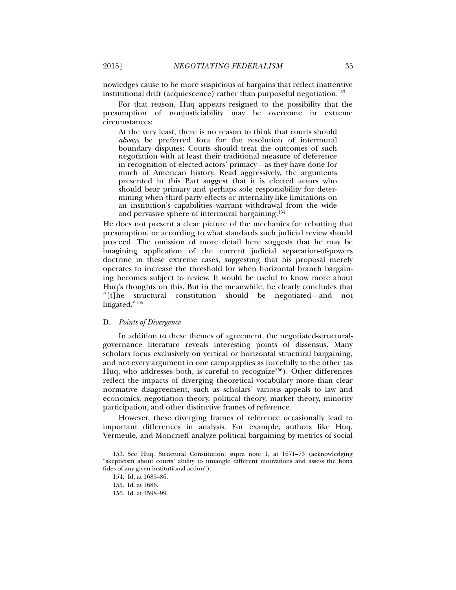nowledges cause to be more suspicious of bargains that reflect inattentive institutional drift (acquiescence) rather than purposeful negotiation.<sup>153</sup>

For that reason, Huq appears resigned to the possibility that the presumption of nonjusticiability may be overcome in extreme circumstances:

At the very least, there is no reason to think that courts should *always* be preferred fora for the resolution of intermural boundary disputes: Courts should treat the outcomes of such negotiation with at least their traditional measure of deference in recognition of elected actors' primacy—as they have done for much of American history. Read aggressively, the arguments presented in this Part suggest that it is elected actors who should bear primary and perhaps sole responsibility for determining when third-party effects or internality-like limitations on an institution's capabilities warrant withdrawal from the wide and pervasive sphere of intermural bargaining.154

He does not present a clear picture of the mechanics for rebutting that presumption, or according to what standards such judicial review should proceed. The omission of more detail here suggests that he may be imagining application of the current judicial separation-of-powers doctrine in these extreme cases, suggesting that his proposal merely operates to increase the threshold for when horizontal branch bargaining becomes subject to review. It would be useful to know more about Huq's thoughts on this. But in the meanwhile, he clearly concludes that "[t]he structural constitution should be negotiated—and not litigated."155

## D. *Points of Divergence*

In addition to these themes of agreement, the negotiated-structuralgovernance literature reveals interesting points of dissensus. Many scholars focus exclusively on vertical or horizontal structural bargaining, and not every argument in one camp applies as forcefully to the other (as Huq, who addresses both, is careful to recognize<sup>156</sup>). Other differences reflect the impacts of diverging theoretical vocabulary more than clear normative disagreement, such as scholars' various appeals to law and economics, negotiation theory, political theory, market theory, minority participation, and other distinctive frames of reference.

However, these diverging frames of reference occasionally lead to important differences in analysis. For example, authors like Huq, Vermeule, and Moncrieff analyze political bargaining by metrics of social

 <sup>153.</sup> See Huq, Structural Constitution, supra note 1, at 1671–73 (acknowledging "skepticism about courts' ability to untangle different motivations and assess the bona fides of any given institutional action").

 <sup>154.</sup> Id. at 1685–86.

 <sup>155.</sup> Id. at 1686.

 <sup>156.</sup> Id. at 1598–99.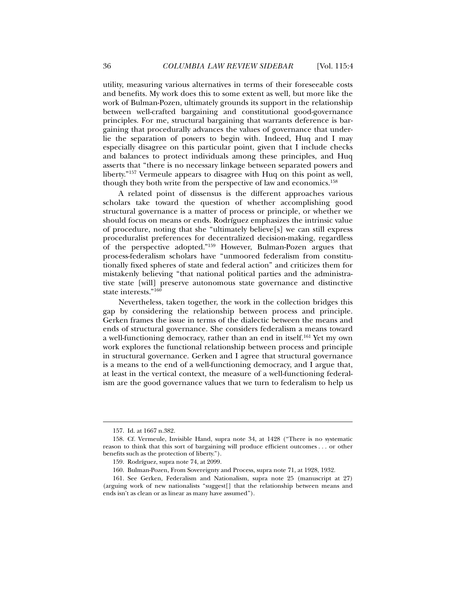utility, measuring various alternatives in terms of their foreseeable costs and benefits. My work does this to some extent as well, but more like the work of Bulman-Pozen, ultimately grounds its support in the relationship between well-crafted bargaining and constitutional good-governance principles. For me, structural bargaining that warrants deference is bargaining that procedurally advances the values of governance that underlie the separation of powers to begin with. Indeed, Huq and I may especially disagree on this particular point, given that I include checks and balances to protect individuals among these principles, and Huq asserts that "there is no necessary linkage between separated powers and liberty."157 Vermeule appears to disagree with Huq on this point as well, though they both write from the perspective of law and economics.158

A related point of dissensus is the different approaches various scholars take toward the question of whether accomplishing good structural governance is a matter of process or principle, or whether we should focus on means or ends. Rodríguez emphasizes the intrinsic value of procedure, noting that she "ultimately believe[s] we can still express proceduralist preferences for decentralized decision-making, regardless of the perspective adopted."159 However, Bulman-Pozen argues that process-federalism scholars have "unmoored federalism from constitutionally fixed spheres of state and federal action" and criticizes them for mistakenly believing "that national political parties and the administrative state [will] preserve autonomous state governance and distinctive state interests."<sup>160</sup>

Nevertheless, taken together, the work in the collection bridges this gap by considering the relationship between process and principle. Gerken frames the issue in terms of the dialectic between the means and ends of structural governance. She considers federalism a means toward a well-functioning democracy, rather than an end in itself.161 Yet my own work explores the functional relationship between process and principle in structural governance. Gerken and I agree that structural governance is a means to the end of a well-functioning democracy, and I argue that, at least in the vertical context, the measure of a well-functioning federalism are the good governance values that we turn to federalism to help us

 <sup>157.</sup> Id. at 1667 n.382.

 <sup>158.</sup> Cf. Vermeule, Invisible Hand, supra note 34, at 1428 ("There is no systematic reason to think that this sort of bargaining will produce efficient outcomes . . . or other benefits such as the protection of liberty.").

 <sup>159.</sup> Rodríguez, supra note 74, at 2099.

 <sup>160.</sup> Bulman-Pozen, From Sovereignty and Process, supra note 71, at 1928, 1932.

 <sup>161.</sup> See Gerken, Federalism and Nationalism, supra note 25 (manuscript at 27) (arguing work of new nationalists "suggest[] that the relationship between means and ends isn't as clean or as linear as many have assumed").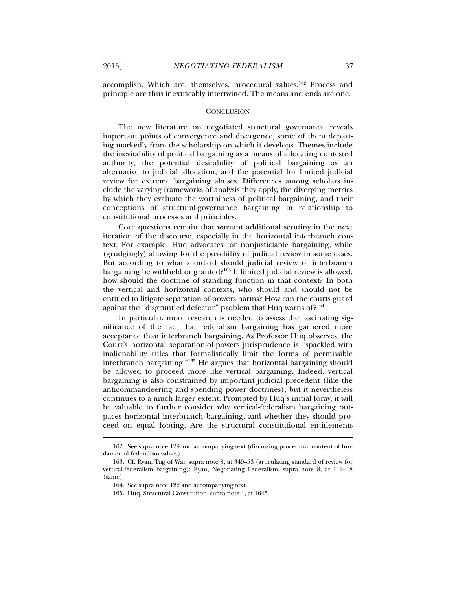l

accomplish. Which are, themselves, procedural values.162 Process and principle are thus inextricably intertwined. The means and ends are one.

#### **CONCLUSION**

The new literature on negotiated structural governance reveals important points of convergence and divergence, some of them departing markedly from the scholarship on which it develops. Themes include the inevitability of political bargaining as a means of allocating contested authority, the potential desirability of political bargaining as an alternative to judicial allocation, and the potential for limited judicial review for extreme bargaining abuses. Differences among scholars include the varying frameworks of analysis they apply, the diverging metrics by which they evaluate the worthiness of political bargaining, and their conceptions of structural-governance bargaining in relationship to constitutional processes and principles.

Core questions remain that warrant additional scrutiny in the next iteration of the discourse, especially in the horizontal interbranch context. For example, Huq advocates for nonjusticiable bargaining, while (grudgingly) allowing for the possibility of judicial review in some cases. But according to what standard should judicial review of interbranch bargaining be withheld or granted?163 If limited judicial review is allowed, how should the doctrine of standing function in that context? In both the vertical and horizontal contexts, who should and should not be entitled to litigate separation-of-powers harms? How can the courts guard against the "disgruntled defector" problem that Huq warns of?<sup>164</sup>

In particular, more research is needed to assess the fascinating significance of the fact that federalism bargaining has garnered more acceptance than interbranch bargaining. As Professor Huq observes, the Court's horizontal separation-of-powers jurisprudence is "spackled with inalienability rules that formalistically limit the forms of permissible interbranch bargaining."165 He argues that horizontal bargaining should be allowed to proceed more like vertical bargaining. Indeed, vertical bargaining is also constrained by important judicial precedent (like the anticommandeering and spending power doctrines), but it nevertheless continues to a much larger extent. Prompted by Huq's initial foray, it will be valuable to further consider why vertical-federalism bargaining outpaces horizontal interbranch bargaining, and whether they should proceed on equal footing. Are the structural constitutional entitlements

 <sup>162.</sup> See supra note 129 and accompanying text (discussing procedural content of fundamental federalism values).

 <sup>163.</sup> Cf. Ryan, Tug of War, supra note 8, at 349–53 (articulating standard of review for vertical-federalism bargaining); Ryan, Negotiating Federalism, supra note 8, at 113–18 (same).

 <sup>164.</sup> See supra note 122 and accompanying text.

 <sup>165.</sup> Huq, Structural Constitution, supra note 1, at 1645.